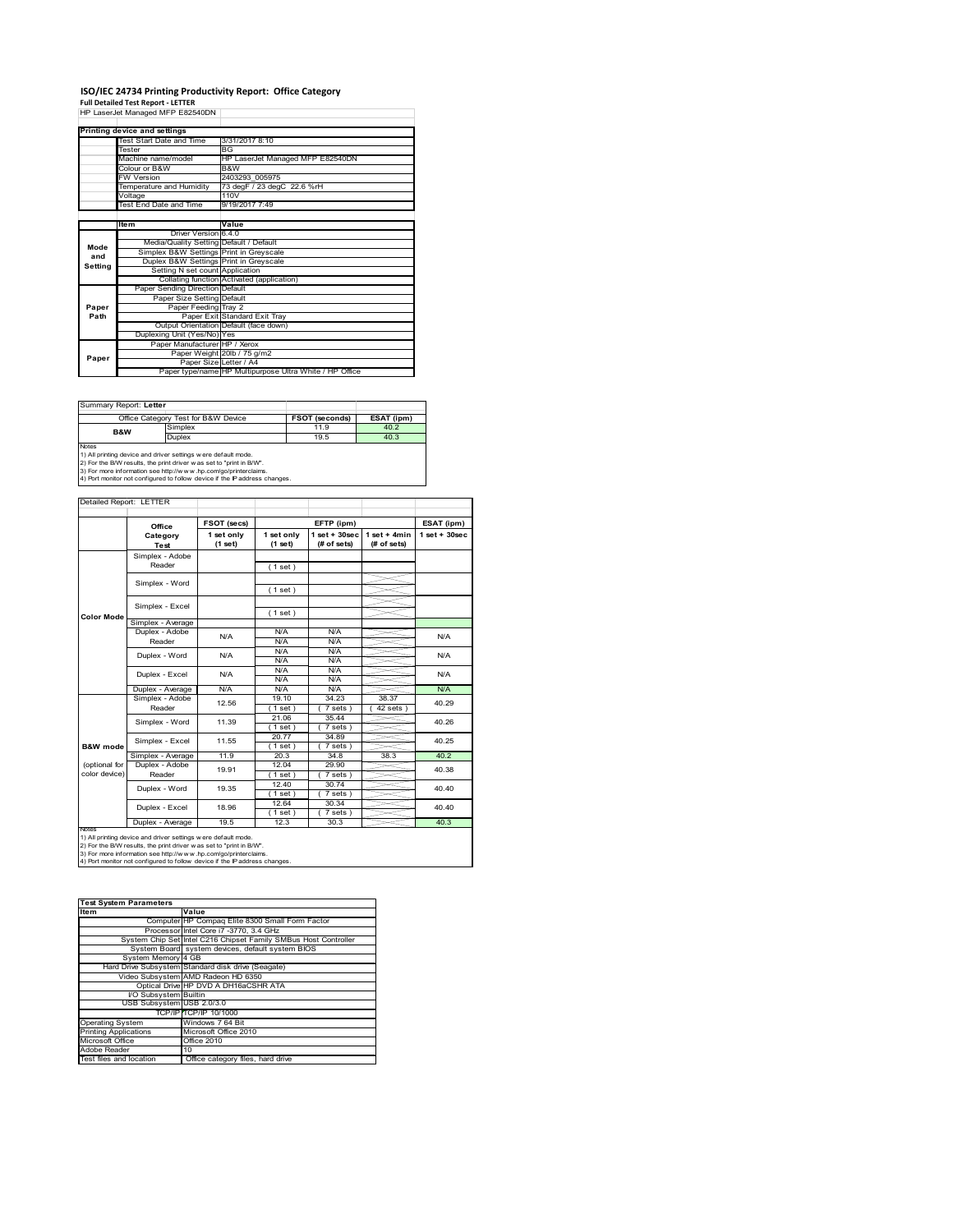## **ISO/IEC 24734 Printing Productivity Report: Office Category**

**Full Detailed Test Report ‐ LETTER** HP LaserJet Managed MFP E82540DN

|         | Printing device and settings            |                                                         |
|---------|-----------------------------------------|---------------------------------------------------------|
|         | Test Start Date and Time                | 3/31/2017 8:10                                          |
|         | Tester                                  | BG                                                      |
|         | Machine name/model                      | HP LaserJet Managed MFP E82540DN                        |
|         | Colour or B&W                           | B&W                                                     |
|         | <b>FW Version</b>                       | 2403293 005975                                          |
|         | Temperature and Humidity                | 73 degF / 23 degC 22.6 %rH                              |
|         | Voltage                                 | 110V                                                    |
|         | Test End Date and Time                  | 9/19/2017 7:49                                          |
|         |                                         |                                                         |
|         | ltem                                    | Value                                                   |
|         | Driver Version 6.4.0                    |                                                         |
| Mode    | Media/Quality Setting Default / Default |                                                         |
| and     | Simplex B&W Settings Print in Greyscale |                                                         |
| Setting | Duplex B&W Settings Print in Greyscale  |                                                         |
|         | Setting N set count Application         |                                                         |
|         |                                         | Collating function Activated (application)              |
|         | Paper Sending Direction Default         |                                                         |
|         | Paper Size Setting Default              |                                                         |
| Paper   | Paper Feeding Tray 2                    |                                                         |
| Path    |                                         | Paper Exit Standard Exit Trav                           |
|         |                                         | Output Orientation Default (face down)                  |
|         | Duplexing Unit (Yes/No) Yes             |                                                         |
|         | Paper Manufacturer HP / Xerox           |                                                         |
| Paper   |                                         | Paper Weight 20lb / 75 g/m2                             |
|         |                                         | Paper Size Letter / A4                                  |
|         |                                         | Paper type/name HP Multipurpose Ultra White / HP Office |

Summary Report: **Letter**

| Office Category Test for B&W Device |                                                                      | <b>FSOT (seconds)</b> | ESAT (ipm) |  |  |
|-------------------------------------|----------------------------------------------------------------------|-----------------------|------------|--|--|
| <b>B&amp;W</b>                      | Simplex                                                              | 11.9                  | 40.2       |  |  |
|                                     | Duplex                                                               | 19.5                  | 40.3       |  |  |
| <b>Notes</b>                        |                                                                      |                       |            |  |  |
|                                     | 1) All printing device and driver settings w ere default mode.       |                       |            |  |  |
|                                     | 2) For the B/W results, the print driver w as set to "print in B/W". |                       |            |  |  |
|                                     | 3) For more information see http://www.hp.com/go/printerclaims       |                       |            |  |  |

3) For more information see http://w w w .hp.com/go/printerclaims. 4) Port monitor not configured to follow device if the IP address changes.

|                     | Office                  | FSOT (secs)           |                       | EFTP (ipm)                        |                               | ESAT (ipm)        |
|---------------------|-------------------------|-----------------------|-----------------------|-----------------------------------|-------------------------------|-------------------|
|                     | Category<br><b>Test</b> | 1 set only<br>(1 set) | 1 set only<br>(1 set) | $1$ set + $30$ sec<br>(# of sets) | $1$ set + 4min<br>(# of sets) | $1$ set $+30$ sec |
|                     | Simplex - Adobe         |                       |                       |                                   |                               |                   |
|                     | Reader                  |                       | (1 set)               |                                   |                               |                   |
|                     |                         |                       |                       |                                   |                               |                   |
|                     | Simplex - Word          |                       | (1 set)               |                                   |                               |                   |
|                     | Simplex - Excel         |                       |                       |                                   |                               |                   |
| Color Mode          |                         |                       | (1 set)               |                                   |                               |                   |
|                     | Simplex - Average       |                       |                       |                                   |                               |                   |
|                     | Duplex - Adobe          | N/A                   | N/A                   | N/A                               |                               | N/A               |
|                     | Reader                  |                       | N/A                   | N/A                               |                               |                   |
|                     | Duplex - Word           | N/A                   | N/A                   | N/A                               |                               | N/A               |
|                     |                         |                       | N/A                   | N/A                               |                               |                   |
|                     | Duplex - Excel          | N/A                   | N/A<br>N/A            | N/A<br>N/A                        |                               | N/A               |
|                     | Duplex - Average        | N/A                   | N/A                   | N/A                               |                               | N/A               |
|                     | Simplex - Adobe         |                       | 19.10                 | 34.23                             | 38.37                         |                   |
|                     | Reader                  | 12.56                 | $1$ set)              | 7 sets                            | 42 sets                       | 40.29             |
|                     | Simplex - Word          | 11.39                 | 21.06                 | 35.44                             |                               | 40.26             |
|                     |                         |                       | (1 set)               | $7 sets$ )                        |                               |                   |
|                     | Simplex - Excel         | 11.55                 | 20.77                 | 34.89                             |                               | 40.25             |
| <b>B&amp;W</b> mode |                         |                       | $1$ set)              | 7 sets)                           |                               |                   |
|                     | Simplex - Average       | 11.9                  | 20.3                  | 34.8                              | 38.3                          | 40.2              |
| (optional for       | Duplex - Adobe          | 19.91                 | 12.04                 | 29.90                             |                               | 40.38             |
| color device)       | Reader                  |                       | $1$ set)              | 7 sets)                           |                               |                   |
|                     | Duplex - Word           | 19.35                 | 12.40                 | 30.74                             |                               | 40.40             |
|                     |                         |                       | (1 set)               | 7 sets)                           |                               |                   |
|                     | Duplex - Excel          | 18.96                 | 12.64                 | 30.34                             |                               | 40.40             |
|                     |                         |                       | $1$ set)              | $7 sets$ )                        |                               |                   |
| <b>NOtes</b>        | Duplex - Average        | 19.5                  | 12.3                  | 30.3                              |                               | 40.3              |

#### **Test System Parameters**

| Item                         | Value                                                           |
|------------------------------|-----------------------------------------------------------------|
|                              | Computer HP Compaq Elite 8300 Small Form Factor                 |
|                              | Processor Intel Core i7 -3770, 3.4 GHz                          |
|                              | System Chip Set Intel C216 Chipset Family SMBus Host Controller |
|                              | System Board system devices, default system BIOS                |
| System Memory 4 GB           |                                                                 |
|                              | Hard Drive Subsystem Standard disk drive (Seagate)              |
|                              | Video Subsystem AMD Radeon HD 6350                              |
|                              | Optical Drive HP DVD A DH16aCSHR ATA                            |
| I/O Subsystem Builtin        |                                                                 |
| USB Subsystem USB 2.0/3.0    |                                                                 |
|                              | TCP/IP TCP/IP 10/1000                                           |
| <b>Operating System</b>      | Windows 7 64 Bit                                                |
| <b>Printing Applications</b> | Microsoft Office 2010                                           |
| Microsoft Office             | Office 2010                                                     |
| Adobe Reader                 | 10                                                              |
| Test files and location      | Office category files, hard drive                               |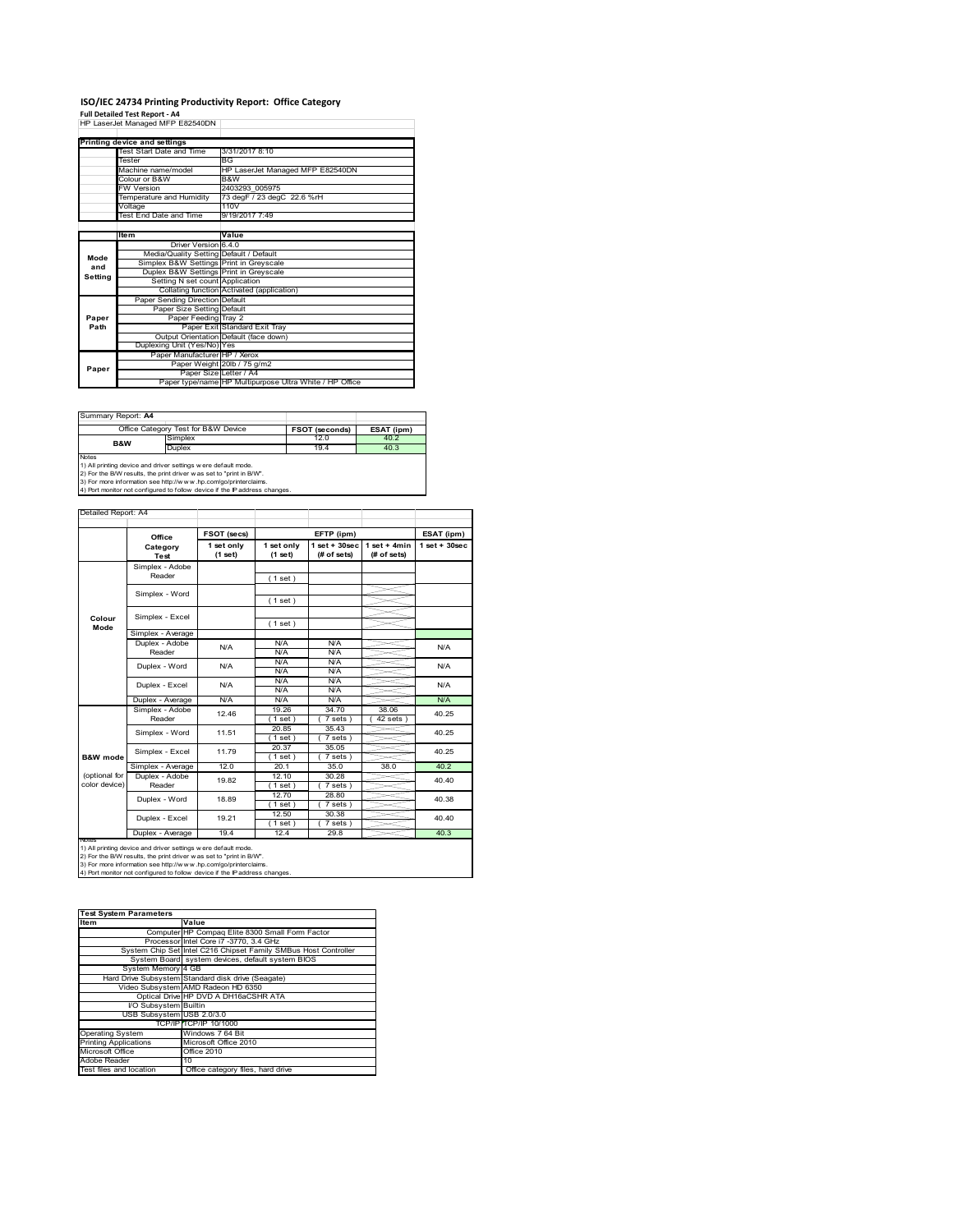# **ISO/IEC 24734 Printing Productivity Report: Office Category<br>Full Detailed Test Report - A4<br>HP LaserJet Managed MFP E82540DN |**

|         | TIF LASCIJEL MANAGU MIFF LOZJ40DIN      |                                                         |
|---------|-----------------------------------------|---------------------------------------------------------|
|         |                                         |                                                         |
|         | Printing device and settings            |                                                         |
|         | Test Start Date and Time                | 3/31/2017 8:10                                          |
|         | Tester                                  | <b>BG</b>                                               |
|         | Machine name/model                      | HP LaserJet Managed MFP E82540DN                        |
|         | Colour or B&W                           | B&W                                                     |
|         | <b>FW Version</b>                       | 2403293 005975                                          |
|         | Temperature and Humidity                | 73 degF / 23 degC 22.6 %rH                              |
|         | Voltage                                 | 110V                                                    |
|         | Test End Date and Time                  | 9/19/2017 7:49                                          |
|         |                                         |                                                         |
|         | <b>Item</b>                             | Value                                                   |
|         | Driver Version 6.4.0                    |                                                         |
| Mode    | Media/Quality Setting Default / Default |                                                         |
| and     | Simplex B&W Settings Print in Greyscale |                                                         |
| Setting | Duplex B&W Settings Print in Greyscale  |                                                         |
|         | Setting N set count Application         |                                                         |
|         |                                         | Collating function Activated (application)              |
|         | Paper Sending Direction Default         |                                                         |
|         | Paper Size Setting Default              |                                                         |
| Paper   | Paper Feeding Tray 2                    |                                                         |
| Path    |                                         | Paper Exit Standard Exit Tray                           |
|         |                                         | Output Orientation Default (face down)                  |
|         | Duplexing Unit (Yes/No) Yes             |                                                         |
|         | Paper Manufacturer HP / Xerox           |                                                         |
| Paper   |                                         | Paper Weight 20lb / 75 g/m2                             |
|         |                                         | Paper Size Letter / A4                                  |
|         |                                         | Paper type/name HP Multipurpose Ultra White / HP Office |

Summary Report: **A4**

Detailed Report: A4

|                | Office Category Test for B&W Device                           | <b>FSOT (seconds)</b> | ESAT (ipm) |
|----------------|---------------------------------------------------------------|-----------------------|------------|
| <b>B&amp;W</b> | Simplex                                                       | 12.0                  | 40.2       |
|                | Duplex                                                        | 19.4                  | 40.3       |
| <b>Notes</b>   |                                                               |                       |            |
|                | 1) All printing device and driver settings were default mode. |                       |            |

1) All printing device and driver settings were default mode.<br>2) For the B/W results, the print driver was set to "print in B/W".<br>3) For more information see http://www.hp.com/go/printerclaims.<br>4) Port monitor not configur

|                     | Office                    | FSOT (secs)           | EFTP (ipm)            |                                   | ESAT (ipm)                    |                 |
|---------------------|---------------------------|-----------------------|-----------------------|-----------------------------------|-------------------------------|-----------------|
|                     | Category<br>Test          | 1 set only<br>(1 set) | 1 set only<br>(1 set) | $1$ set + $30$ sec<br>(# of sets) | $1$ set + 4min<br>(# of sets) | $1$ set + 30sec |
|                     | Simplex - Adobe           |                       |                       |                                   |                               |                 |
|                     | Reader                    |                       | (1 set)               |                                   |                               |                 |
|                     | Simplex - Word            |                       |                       |                                   |                               |                 |
|                     |                           |                       | (1 set)               |                                   |                               |                 |
|                     | Simplex - Excel           |                       |                       |                                   |                               |                 |
| Colour<br>Mode      |                           |                       | (1 set)               |                                   |                               |                 |
|                     | Simplex - Average         |                       |                       |                                   |                               |                 |
|                     | Duplex - Adobe            | N/A                   | N/A                   | N/A                               |                               | N/A             |
|                     | Reader                    |                       | N/A                   | N/A                               |                               |                 |
|                     | Duplex - Word             | N/A                   | N/A                   | N/A                               |                               | N/A             |
|                     |                           |                       | N/A                   | N/A                               |                               |                 |
|                     | Duplex - Excel            | N/A                   | N/A                   | N/A                               |                               | N/A             |
|                     |                           |                       | N/A                   | N/A                               |                               |                 |
|                     | Duplex - Average          | N/A                   | N/A                   | N/A                               |                               | N/A             |
|                     | Simplex - Adobe<br>Reader | 12.46                 | 19.26                 | 34.70                             | 38.06                         | 40.25<br>40.25  |
|                     |                           |                       | $1$ set)              | 7 sets)                           | $42$ sets $)$                 |                 |
|                     | Simplex - Word            | 11.51                 | 20.85                 | 35.43                             |                               |                 |
|                     |                           |                       | $1$ set $)$           | 7 sets)                           |                               |                 |
|                     | Simplex - Excel           | 11.79                 | 20.37                 | 35.05                             |                               | 40.25           |
| <b>B&amp;W</b> mode |                           |                       | $1$ set)              | 7 sets)                           |                               |                 |
|                     | Simplex - Average         | 12.0                  | 20.1                  | 35.0                              | 38.0                          | 40.2            |
| (optional for       | Duplex - Adobe            | 19.82                 | 12.10                 | 30.28                             |                               | 40.40           |
| color device)       | Reader                    |                       | $1$ set)              | 7 sets)                           |                               |                 |
| Duplex - Word       | 18.89                     | 12.70                 | 28.80                 |                                   | 40.38                         |                 |
|                     |                           |                       | $1$ set)              | 7 sets)                           |                               |                 |
|                     |                           | 19.21                 | 12.50                 | 30.38                             |                               | 40.40           |
|                     | Duplex - Excel            |                       | $1$ set)              | 7 sets)                           |                               |                 |
|                     | Duplex - Average          | 19.4                  | 12.4                  | 29.8                              |                               | 40.3            |

1) All printing device and driver settings were default mode.<br>2) For the B/W results, the print driver was set to "print in B/W".<br>3) For more information see http://www.hp.com/go/printerclaims.<br>4) Port monitor not configur

| <b>Test System Parameters</b> |                                                                 |  |  |  |
|-------------------------------|-----------------------------------------------------------------|--|--|--|
| Item                          | Value                                                           |  |  |  |
|                               | Computer HP Compaq Elite 8300 Small Form Factor                 |  |  |  |
|                               | Processor Intel Core i7 -3770, 3.4 GHz                          |  |  |  |
|                               | System Chip Set Intel C216 Chipset Family SMBus Host Controller |  |  |  |
|                               | System Board system devices, default system BIOS                |  |  |  |
| System Memory 4 GB            |                                                                 |  |  |  |
|                               | Hard Drive Subsystem Standard disk drive (Seagate)              |  |  |  |
|                               | Video Subsystem AMD Radeon HD 6350                              |  |  |  |
|                               | Optical Drive HP DVD A DH16aCSHR ATA                            |  |  |  |
| I/O Subsystem Builtin         |                                                                 |  |  |  |
| USB Subsystem USB 2.0/3.0     |                                                                 |  |  |  |
|                               | TCP/IP TCP/IP 10/1000                                           |  |  |  |
| <b>Operating System</b>       | Windows 7 64 Bit                                                |  |  |  |
| <b>Printing Applications</b>  | Microsoft Office 2010                                           |  |  |  |
| Microsoft Office              | Office 2010                                                     |  |  |  |
| Adobe Reader                  | 10                                                              |  |  |  |
| Test files and location       | Office category files, hard drive                               |  |  |  |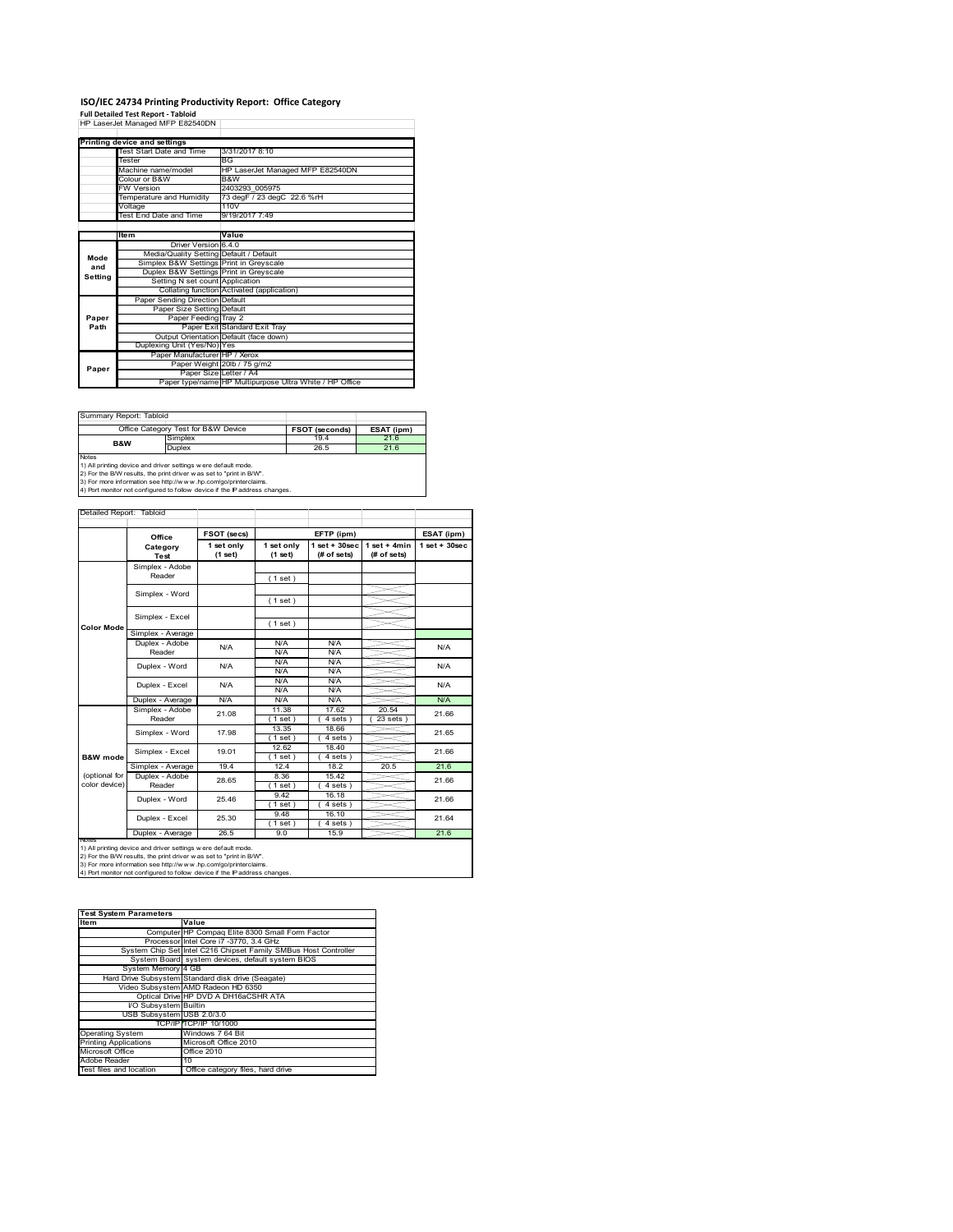# **ISO/IEC 24734 Printing Productivity Report: Office Category<br>Full Detailed Test Report - Tabloid<br>HP LaserJet Managed MFP E82540DN |**

|         | <u>HE LASENEL MANAGED MEE ESZS40DN</u>  |                                                         |
|---------|-----------------------------------------|---------------------------------------------------------|
|         |                                         |                                                         |
|         | Printing device and settings            |                                                         |
|         | Test Start Date and Time                | 3/31/2017 8:10                                          |
|         | Tester                                  | <b>BG</b>                                               |
|         | Machine name/model                      | HP LaserJet Managed MFP E82540DN                        |
|         | Colour or B&W                           | B&W                                                     |
|         | <b>FW Version</b>                       | 2403293 005975                                          |
|         | Temperature and Humidity                | 73 degF / 23 degC 22.6 %rH                              |
|         | Voltage                                 | 110V                                                    |
|         | Test End Date and Time                  | 9/19/2017 7:49                                          |
|         |                                         |                                                         |
|         | Item                                    | Value                                                   |
|         | Driver Version 6.4.0                    |                                                         |
| Mode    | Media/Quality Setting Default / Default |                                                         |
| and     | Simplex B&W Settings Print in Greyscale |                                                         |
| Setting | Duplex B&W Settings Print in Greyscale  |                                                         |
|         | Setting N set count Application         |                                                         |
|         |                                         | Collating function Activated (application)              |
|         | Paper Sending Direction Default         |                                                         |
|         | Paper Size Setting Default              |                                                         |
| Paper   | Paper Feeding Tray 2                    |                                                         |
| Path    |                                         | Paper Exit Standard Exit Tray                           |
|         |                                         | Output Orientation Default (face down)                  |
|         | Duplexing Unit (Yes/No) Yes             |                                                         |
|         | Paper Manufacturer HP / Xerox           |                                                         |
| Paper   |                                         | Paper Weight 20lb / 75 g/m2                             |
|         |                                         | Paper Size Letter / A4                                  |
|         |                                         | Paper type/name HP Multipurpose Ultra White / HP Office |

Summary Report: T

|                | Office Category Test for B&W Device                           | <b>FSOT (seconds)</b> | ESAT (ipm) |
|----------------|---------------------------------------------------------------|-----------------------|------------|
| <b>B&amp;W</b> | Simplex                                                       | 19.4                  | 21.6       |
|                | Duplex                                                        | 26.5                  | 21.6       |
| <b>Notes</b>   |                                                               |                       |            |
|                | 1) All printing device and driver settings were default mode. |                       |            |

1) All printing device and driver settings were default mode.<br>2) For the B/W results, the print driver was set to "print in B/W".<br>3) For more information see http://www.hp.com/go/printerclaims.<br>4) Port monitor not configur

|                                | Office                    | FSOT (secs)           |                       | EFTP (ipm)                      |                                | ESAT (ipm)      |
|--------------------------------|---------------------------|-----------------------|-----------------------|---------------------------------|--------------------------------|-----------------|
|                                | Category<br><b>Test</b>   | 1 set only<br>(1 set) | 1 set only<br>(1 set) | $1 set + 30 sec$<br>(# of sets) | $1 set + 4 min$<br>(# of sets) | $1$ set + 30sec |
|                                | Simplex - Adobe<br>Reader |                       | (1 set)               |                                 |                                |                 |
|                                | Simplex - Word            |                       | (1 set)               |                                 |                                |                 |
|                                | Simplex - Excel           |                       | (1 set)               |                                 |                                |                 |
| <b>Color Mode</b>              | Simplex - Average         |                       |                       |                                 |                                |                 |
|                                | Duplex - Adobe<br>Reader  | N/A                   | N/A<br>N/A            | N/A<br>N/A                      |                                | N/A             |
|                                | Duplex - Word             | N/A                   | N/A<br>N/A            | N/A<br>N/A                      |                                | N/A             |
|                                | Duplex - Excel            | N/A                   | N/A<br>N/A            | N/A<br>N/A                      |                                | N/A             |
|                                | Duplex - Average          | N/A                   | N/A                   | N/A                             |                                | N/A             |
|                                | Simplex - Adobe<br>Reader | 21.08                 | 11.38<br>$1$ set)     | 17.62<br>$4 sets$ )             | 20.54<br>$23$ sets $)$         | 21.66           |
|                                | Simplex - Word            | 17.98                 | 13.35<br>$1$ set)     | 18.66<br>$4 sets$ )             |                                | 21.65           |
| B&W mode                       | Simplex - Excel           | 19.01                 | 12.62<br>$1$ set)     | 18.40<br>$4 sets$ )             |                                | 21.66           |
|                                | Simplex - Average         | 19.4                  | 12.4                  | 18.2                            | 20.5                           | 21.6            |
| (optional for<br>color device) | Duplex - Adobe<br>Reader  | 28.65                 | 8.36<br>$1$ set)      | 15.42<br>$4 sets$ )             |                                | 21.66           |
|                                | Duplex - Word             | 25.46                 | 9.42<br>$1$ set)      | 16.18<br>$4 sets$ )             |                                | 21.66           |
|                                | Duplex - Excel            | 25.30                 | 9.48<br>$1$ set)      | 16.10<br>4 sets)                |                                | 21.64           |
|                                | Duplex - Average          | 26.5                  | 9.0                   | 15.9                            |                                | 21.6            |

1) All printing device and driver settings were default mode.<br>2) For the B/W results, the print driver was set to "print in B/W".<br>3) For more information see http://www.hp.com/go/printerclaims.<br>4) Port monitor not configur

| <b>Test System Parameters</b> |                                                                 |
|-------------------------------|-----------------------------------------------------------------|
| Item                          | Value                                                           |
|                               | Computer HP Compaq Elite 8300 Small Form Factor                 |
|                               | Processor Intel Core i7 -3770, 3.4 GHz                          |
|                               | System Chip Set Intel C216 Chipset Family SMBus Host Controller |
|                               | System Board system devices, default system BIOS                |
| System Memory 4 GB            |                                                                 |
|                               | Hard Drive Subsystem Standard disk drive (Seagate)              |
|                               | Video Subsystem AMD Radeon HD 6350                              |
|                               | Optical Drive HP DVD A DH16aCSHR ATA                            |
| I/O Subsystem Builtin         |                                                                 |
| USB Subsystem USB 2.0/3.0     |                                                                 |
|                               | TCP/IP TCP/IP 10/1000                                           |
| <b>Operating System</b>       | Windows 7 64 Bit                                                |
| <b>Printing Applications</b>  | Microsoft Office 2010                                           |
| Microsoft Office              | Office 2010                                                     |
| Adobe Reader                  | 10                                                              |
| Test files and location       | Office category files, hard drive                               |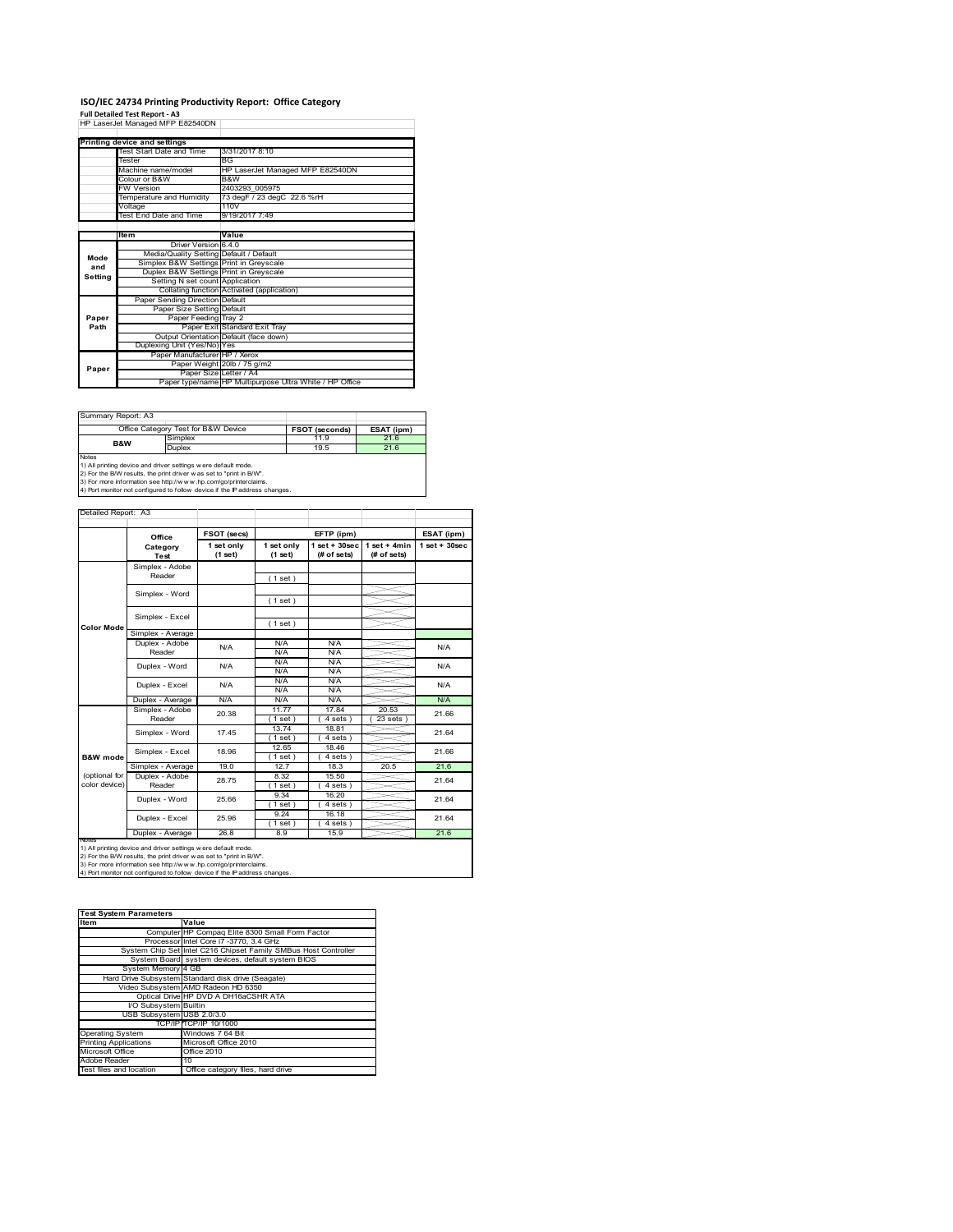# **ISO/IEC 24734 Printing Productivity Report: Office Category<br>Full Detailed Test Report - A3<br>HP LaserJet Managed MFP E82540DN |**

|         | TIF LASCIJCI MAHAYCU MIFF LOZJ40DIY     |                                                         |
|---------|-----------------------------------------|---------------------------------------------------------|
|         |                                         |                                                         |
|         | Printing device and settings            |                                                         |
|         | Test Start Date and Time                | 3/31/2017 8:10                                          |
|         | Tester                                  | <b>BG</b>                                               |
|         | Machine name/model                      | HP LaserJet Managed MFP E82540DN                        |
|         | Colour or B&W                           | B&W                                                     |
|         | <b>FW Version</b>                       | 2403293 005975                                          |
|         | Temperature and Humidity                | 73 degF / 23 degC 22.6 %rH                              |
|         | Voltage                                 | 110V                                                    |
|         | Test End Date and Time                  | 9/19/2017 7:49                                          |
|         |                                         |                                                         |
|         | <b>Item</b>                             | Value                                                   |
|         | Driver Version 6.4.0                    |                                                         |
| Mode    | Media/Quality Setting Default / Default |                                                         |
| and     | Simplex B&W Settings Print in Greyscale |                                                         |
| Setting | Duplex B&W Settings Print in Greyscale  |                                                         |
|         | Setting N set count Application         |                                                         |
|         |                                         | Collating function Activated (application)              |
|         | Paper Sending Direction Default         |                                                         |
|         | Paper Size Setting Default              |                                                         |
| Paper   | Paper Feeding Tray 2                    |                                                         |
| Path    |                                         | Paper Exit Standard Exit Tray                           |
|         |                                         | Output Orientation Default (face down)                  |
|         | Duplexing Unit (Yes/No) Yes             |                                                         |
|         | Paper Manufacturer HP / Xerox           |                                                         |
| Paper   |                                         | Paper Weight 20lb / 75 g/m2                             |
|         |                                         | Paper Size Letter / A4                                  |
|         |                                         | Paper type/name HP Multipurpose Ultra White / HP Office |

Summary Report: A3

|                | Office Category Test for B&W Device                            | <b>FSOT (seconds)</b> | ESAT (ipm) |
|----------------|----------------------------------------------------------------|-----------------------|------------|
| <b>B&amp;W</b> | Simplex                                                        | 11.9                  | 21.6       |
|                | Duplex                                                         | 19.5                  | 21.6       |
| <b>Notes</b>   |                                                                |                       |            |
|                | 1) All printing device and driver settings w ere default mode. |                       |            |

1) All printing device and driver settings were default mode.<br>2) For the B/W results, the print driver was set to "print in B/W".<br>3) For more information see http://www.hp.com/go/printerclaims.<br>4) Port monitor not configur

|                                | Office                    | FSOT (secs)           |                       | EFTP (ipm)                        |                               | ESAT (ipm)        |
|--------------------------------|---------------------------|-----------------------|-----------------------|-----------------------------------|-------------------------------|-------------------|
|                                | Category<br><b>Test</b>   | 1 set only<br>(1 set) | 1 set only<br>(1 set) | $1$ set + $30$ sec<br>(# of sets) | $1$ set + 4min<br>(# of sets) | $1$ set $+30$ sec |
|                                | Simplex - Adobe<br>Reader |                       | (1 set)               |                                   |                               |                   |
|                                | Simplex - Word            |                       | (1 set)               |                                   |                               |                   |
| <b>Color Mode</b>              | Simplex - Excel           |                       | (1 set)               |                                   |                               |                   |
|                                | Simplex - Average         |                       |                       |                                   |                               |                   |
|                                | Duplex - Adobe<br>Reader  | N/A                   | N/A<br>N/A            | N/A<br>N/A                        |                               | N/A               |
|                                | Duplex - Word             | N/A                   | N/A<br>N/A            | N/A<br>N/A                        |                               | N/A               |
|                                | Duplex - Excel            | N/A                   | N/A<br>N/A            | N/A<br>N/A                        |                               | N/A               |
|                                | Duplex - Average          | N/A                   | N/A                   | N/A                               |                               | N/A               |
|                                | Simplex - Adobe<br>Reader | 20.38                 | 11.77<br>$1$ set)     | 17.84<br>4 sets)                  | 20.53<br>$23$ sets $)$        | 21.66             |
|                                | Simplex - Word            | 17.45                 | 13.74<br>$1$ set)     | 18.81<br>4 sets)                  |                               | 21.64             |
| <b>B&amp;W</b> mode            | Simplex - Excel           | 18.96                 | 12.65<br>$1$ set)     | 18.46<br>4 sets)                  |                               | 21.66             |
|                                | Simplex - Average         | 19.0                  | 12.7                  | 18.3                              | 20.5                          | 21.6              |
| (optional for<br>color device) | Duplex - Adobe<br>Reader  | 28.75                 | 8.32<br>$1$ set)      | 15.50<br>4 sets)                  |                               | 21.64             |
|                                | Duplex - Word             | 25.66                 | 9.34<br>$1$ set)      | 16.20<br>$4 sets$ )               |                               | 21.64             |
|                                | Duplex - Excel            | 25.96                 | 9.24<br>$1$ set)      | 16.18<br>4 sets)                  |                               | 21.64             |
|                                | Duplex - Average          | 26.8                  | 8.9                   | 15.9                              |                               | 21.6              |

1) All printing device and driver settings were default mode.<br>2) For the B/W results, the print driver was set to "print in B/W".<br>3) For more information see http://www.hp.com/go/printerclaims.<br>4) Port monitor not configur

| <b>Test System Parameters</b> |                                                                 |
|-------------------------------|-----------------------------------------------------------------|
| Item                          | Value                                                           |
|                               | Computer HP Compaq Elite 8300 Small Form Factor                 |
|                               | Processor Intel Core i7 -3770, 3.4 GHz                          |
|                               | System Chip Set Intel C216 Chipset Family SMBus Host Controller |
|                               | System Board system devices, default system BIOS                |
| System Memory 4 GB            |                                                                 |
|                               | Hard Drive Subsystem Standard disk drive (Seagate)              |
|                               | Video Subsystem AMD Radeon HD 6350                              |
|                               | Optical Drive HP DVD A DH16aCSHR ATA                            |
| I/O Subsystem Builtin         |                                                                 |
| USB Subsystem USB 2.0/3.0     |                                                                 |
|                               | TCP/IP TCP/IP 10/1000                                           |
| <b>Operating System</b>       | Windows 7 64 Bit                                                |
| <b>Printing Applications</b>  | Microsoft Office 2010                                           |
| Microsoft Office              | Office 2010                                                     |
| Adobe Reader                  | 10                                                              |
| Test files and location       | Office category files, hard drive                               |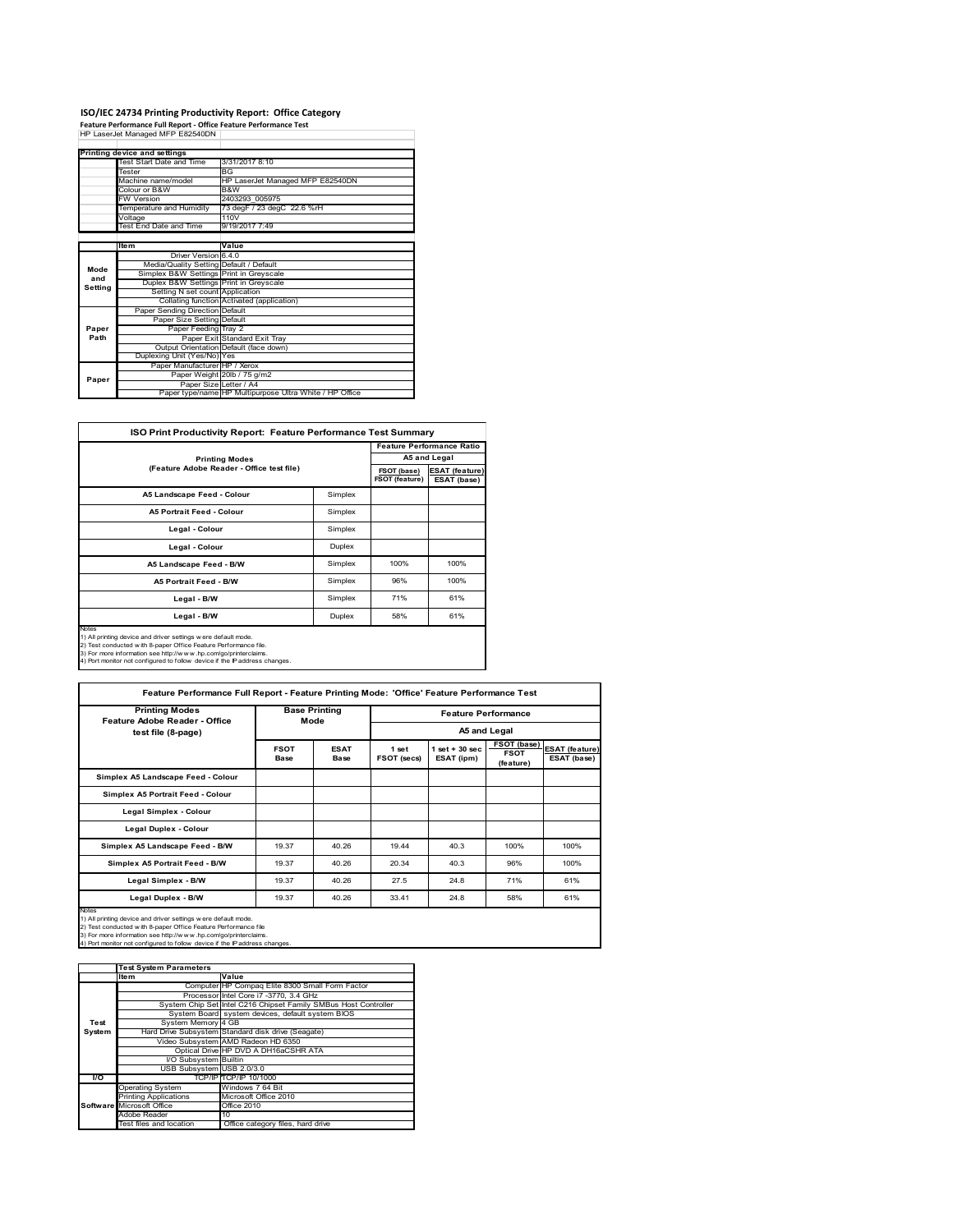# **ISO/IEC 24734 Printing Productivity Report: Office Category<br>Feature Performance Full Report - Office Feature Performance Test<br>HP LaserJet Managed MFP E82540DN |**

|         | Printing device and settings            |                                                         |
|---------|-----------------------------------------|---------------------------------------------------------|
|         | Test Start Date and Time                | 3/31/2017 8:10                                          |
|         | Tester                                  | <b>BG</b>                                               |
|         | Machine name/model                      | HP LaserJet Managed MFP E82540DN                        |
|         | Colour or B&W                           | B&W                                                     |
|         | <b>FW Version</b>                       | 2403293 005975                                          |
|         | Temperature and Humidity                | 73 degF / 23 degC 22.6 %rH                              |
|         | Voltage                                 | 110V                                                    |
|         | Test End Date and Time                  | 9/19/2017 7:49                                          |
|         |                                         |                                                         |
|         | ltem                                    | Value                                                   |
|         | Driver Version 6.4.0                    |                                                         |
| Mode    | Media/Quality Setting Default / Default |                                                         |
| and     | Simplex B&W Settings Print in Greyscale |                                                         |
| Setting | Duplex B&W Settings Print in Greyscale  |                                                         |
|         | Setting N set count Application         |                                                         |
|         |                                         | Collating function Activated (application)              |
|         | Paper Sending Direction Default         |                                                         |
|         | Paper Size Setting Default              |                                                         |
| Paper   | Paper Feeding Tray 2                    |                                                         |
| Path    |                                         | Paper Exit Standard Exit Tray                           |
|         |                                         | Output Orientation Default (face down)                  |
|         | Duplexing Unit (Yes/No) Yes             |                                                         |
|         | Paper Manufacturer HP / Xerox           |                                                         |
| Paper   |                                         | Paper Weight 20lb / 75 g/m2                             |
|         | Paper Size Letter / A4                  |                                                         |
|         |                                         | Paper type/name HP Multipurpose Ultra White / HP Office |

| <b>ISO Print Productivity Report: Feature Performance Test Summary</b>                                                                                                                                                                                                                             |         |                               |                                      |
|----------------------------------------------------------------------------------------------------------------------------------------------------------------------------------------------------------------------------------------------------------------------------------------------------|---------|-------------------------------|--------------------------------------|
|                                                                                                                                                                                                                                                                                                    |         |                               | <b>Feature Performance Ratio</b>     |
| <b>Printing Modes</b>                                                                                                                                                                                                                                                                              |         |                               | A5 and Legal                         |
| (Feature Adobe Reader - Office test file)                                                                                                                                                                                                                                                          |         | FSOT (base)<br>FSOT (feature) | <b>ESAT (feature)</b><br>ESAT (base) |
| A5 Landscape Feed - Colour                                                                                                                                                                                                                                                                         | Simplex |                               |                                      |
| <b>A5 Portrait Feed - Colour</b>                                                                                                                                                                                                                                                                   | Simplex |                               |                                      |
| Legal - Colour                                                                                                                                                                                                                                                                                     | Simplex |                               |                                      |
| Legal - Colour                                                                                                                                                                                                                                                                                     | Duplex  |                               |                                      |
| A5 Landscape Feed - B/W                                                                                                                                                                                                                                                                            | Simplex | 100%                          | 100%                                 |
| <b>A5 Portrait Feed - B/W</b>                                                                                                                                                                                                                                                                      | Simplex | 96%                           | 100%                                 |
| Legal - B/W                                                                                                                                                                                                                                                                                        | Simplex | 71%                           | 61%                                  |
| Legal - B/W                                                                                                                                                                                                                                                                                        | Duplex  | 58%                           | 61%                                  |
| <b>Notes</b><br>1) All printing device and driver settings w ere default mode.<br>2) Test conducted with 8-paper Office Feature Performance file.<br>3) For more information see http://www.hp.com/go/printerclaims.<br>4) Port monitor not configured to follow device if the IP address changes. |         |                               |                                      |

| 4) Port monitor not configured to follow device if the IP address changes. |
|----------------------------------------------------------------------------|
|----------------------------------------------------------------------------|

| Feature Performance Full Report - Feature Printing Mode: 'Office' Feature Performance Test                                                                                                                                                                                                        |                     |                              |                      |                                 |                                         |                                      |
|---------------------------------------------------------------------------------------------------------------------------------------------------------------------------------------------------------------------------------------------------------------------------------------------------|---------------------|------------------------------|----------------------|---------------------------------|-----------------------------------------|--------------------------------------|
| <b>Printing Modes</b><br><b>Feature Adobe Reader - Office</b>                                                                                                                                                                                                                                     |                     | <b>Base Printing</b><br>Mode |                      |                                 | <b>Feature Performance</b>              |                                      |
| test file (8-page)                                                                                                                                                                                                                                                                                |                     |                              |                      |                                 | A5 and Legal                            |                                      |
|                                                                                                                                                                                                                                                                                                   | <b>FSOT</b><br>Base | <b>ESAT</b><br>Base          | 1 set<br>FSOT (secs) | $1$ set $+30$ sec<br>ESAT (ipm) | FSOT (base)<br><b>FSOT</b><br>(feature) | <b>ESAT (feature)</b><br>ESAT (base) |
| Simplex A5 Landscape Feed - Colour                                                                                                                                                                                                                                                                |                     |                              |                      |                                 |                                         |                                      |
| Simplex A5 Portrait Feed - Colour                                                                                                                                                                                                                                                                 |                     |                              |                      |                                 |                                         |                                      |
| Legal Simplex - Colour                                                                                                                                                                                                                                                                            |                     |                              |                      |                                 |                                         |                                      |
| Legal Duplex - Colour                                                                                                                                                                                                                                                                             |                     |                              |                      |                                 |                                         |                                      |
| Simplex A5 Landscape Feed - B/W                                                                                                                                                                                                                                                                   | 19.37               | 40.26                        | 19.44                | 40.3                            | 100%                                    | 100%                                 |
| Simplex A5 Portrait Feed - B/W                                                                                                                                                                                                                                                                    | 19.37               | 40.26                        | 20.34                | 40.3                            | 96%                                     | 100%                                 |
| Legal Simplex - B/W                                                                                                                                                                                                                                                                               | 19.37               | 40.26                        | 27.5                 | 24.8                            | 71%                                     | 61%                                  |
| Legal Duplex - B/W                                                                                                                                                                                                                                                                                | 19.37               | 40.26                        | 33.41                | 24.8                            | 58%                                     | 61%                                  |
| <b>Notes</b><br>1) All printing device and driver settings w ere default mode.<br>2) Test conducted with 8-paper Office Feature Performance file<br>3) For more information see http://www.hp.com/go/printerclaims.<br>4) Port monitor not configured to follow device if the IP address changes. |                     |                              |                      |                                 |                                         |                                      |

|        | <b>Test System Parameters</b> |                                                                 |
|--------|-------------------------------|-----------------------------------------------------------------|
|        | <b>Item</b>                   | Value                                                           |
|        |                               | Computer HP Compaq Elite 8300 Small Form Factor                 |
|        |                               | Processor Intel Core i7 -3770, 3.4 GHz                          |
|        |                               | System Chip Set Intel C216 Chipset Family SMBus Host Controller |
|        |                               | System Board system devices, default system BIOS                |
| Test   | System Memory 4 GB            |                                                                 |
| System |                               | Hard Drive Subsystem Standard disk drive (Seagate)              |
|        |                               | Video Subsystem AMD Radeon HD 6350                              |
|        |                               | Optical Drive HP DVD A DH16aCSHR ATA                            |
|        | <b>VO Subsystem Builtin</b>   |                                                                 |
|        | USB Subsystem USB 2.0/3.0     |                                                                 |
| I/O    |                               | TCP/IP TCP/IP 10/1000                                           |
|        | <b>Operating System</b>       | Windows 7 64 Bit                                                |
|        | <b>Printing Applications</b>  | Microsoft Office 2010                                           |
|        | Software Microsoft Office     | <b>Office 2010</b>                                              |
|        | Adobe Reader                  | 10                                                              |
|        | Test files and location       | Office category files, hard drive                               |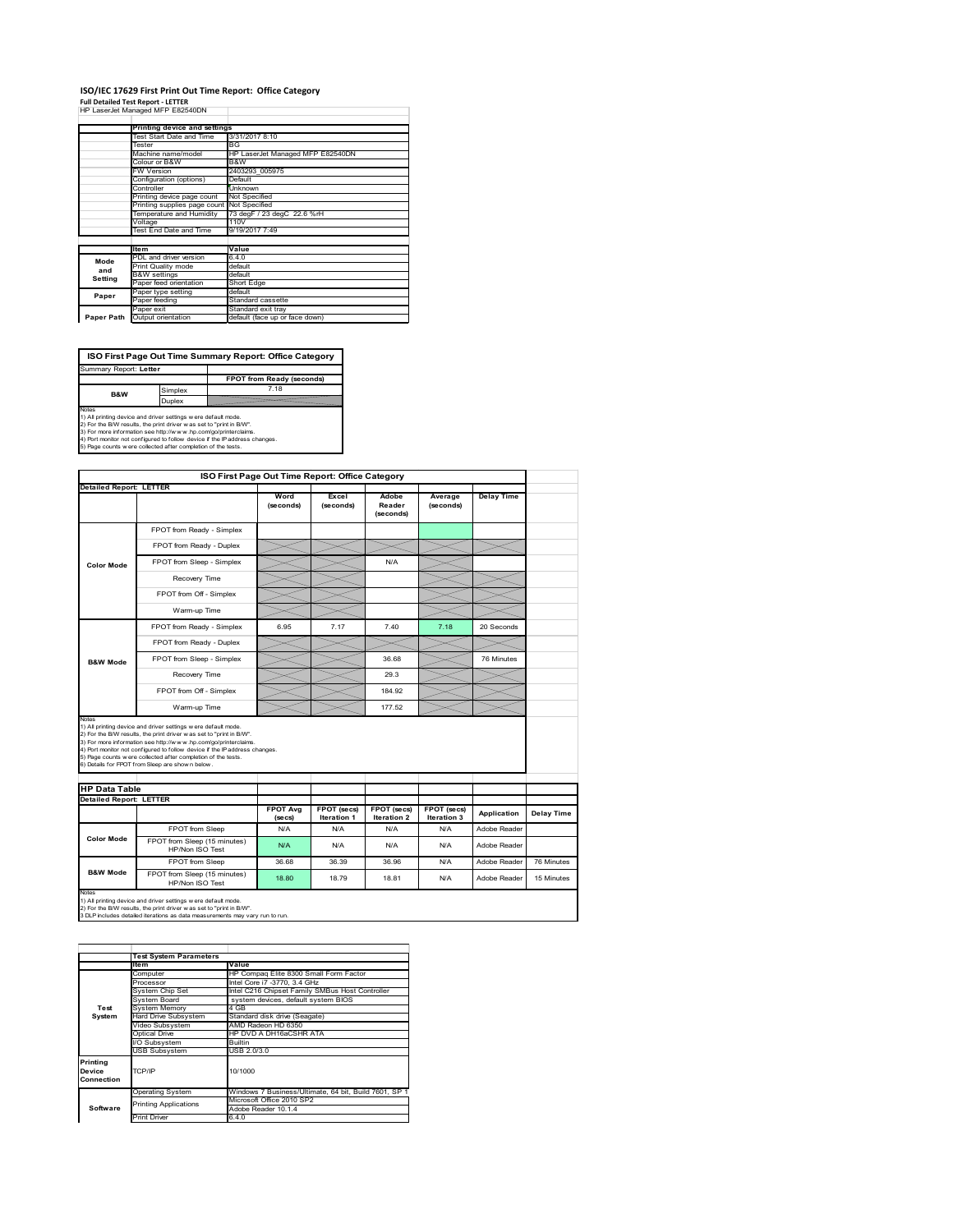#### **ISO/IEC 17629 First Print Out Time Report: Office Category Full Detailed Test Report ‐ LETTER** HP LaserJet Managed MFP E82540DN

|            | III Lasciuctivianaged IVIII LUZUTUDIY |                                  |
|------------|---------------------------------------|----------------------------------|
|            | Printing device and settings          |                                  |
|            | Test Start Date and Time              | 3/31/2017 8:10                   |
|            | Tester                                | <b>BG</b>                        |
|            | Machine name/model                    | HP LaserJet Managed MFP E82540DN |
|            | Colour or B&W                         | B&W                              |
|            | <b>FW Version</b>                     | 2403293 005975                   |
|            | Configuration (options)               | Default                          |
|            | Controller                            | Unknown                          |
|            | Printing device page count            | Not Specified                    |
|            | Printing supplies page count          | Not Specified                    |
|            | Temperature and Humidity              | 73 degF / 23 degC 22.6 %rH       |
|            | Voltage                               | 110V                             |
|            | Test End Date and Time                | 9/19/2017 7:49                   |
|            |                                       |                                  |
|            | <b>Item</b>                           | Value                            |
| Mode       | PDL and driver version                | 6.4.0                            |
| and        | Print Quality mode                    | default                          |
| Setting    | <b>B&amp;W</b> settings               | default                          |
|            | Paper feed orientation                | Short Edge                       |
| Paper      | Paper type setting                    | default                          |
|            | Paper feeding                         | Standard cassette                |
|            | Paper exit                            | Standard exit tray               |
| Paper Path | Output orientation                    | default (face up or face down)   |

**ISO First Page Out Time Summary Report: Office Category** Summary Report: **Letter**

**FPOT from Ready (seconds)**<br>
Simplex 7.18 **B&W**

**Duplex**<br>
Notes<br>
1) All printing device and driver settings were default mode.<br>
2) For the BM reaults, the print driver was set to "print in BM".<br>
4) For more information see http://www.hp.com/golprinterclaims.<br>
4) Port mo

|                                                        |                                                                                                                                                                                                                                                                                                                                                                                                             | ISO First Page Out Time Report: Office Category |                                   |                                   |                            |                   |            |
|--------------------------------------------------------|-------------------------------------------------------------------------------------------------------------------------------------------------------------------------------------------------------------------------------------------------------------------------------------------------------------------------------------------------------------------------------------------------------------|-------------------------------------------------|-----------------------------------|-----------------------------------|----------------------------|-------------------|------------|
| <b>Detailed Report: LETTER</b>                         |                                                                                                                                                                                                                                                                                                                                                                                                             |                                                 |                                   |                                   |                            |                   |            |
|                                                        |                                                                                                                                                                                                                                                                                                                                                                                                             | Word<br>(seconds)                               | Excel<br>(seconds)                | Adobe<br>Reader<br>(seconds)      | Average<br>(seconds)       | <b>Delay Time</b> |            |
|                                                        | FPOT from Ready - Simplex                                                                                                                                                                                                                                                                                                                                                                                   |                                                 |                                   |                                   |                            |                   |            |
|                                                        | FPOT from Ready - Duplex                                                                                                                                                                                                                                                                                                                                                                                    |                                                 |                                   |                                   |                            |                   |            |
| <b>Color Mode</b>                                      | FPOT from Sleep - Simplex                                                                                                                                                                                                                                                                                                                                                                                   |                                                 |                                   | N/A                               |                            |                   |            |
|                                                        | Recovery Time                                                                                                                                                                                                                                                                                                                                                                                               |                                                 |                                   |                                   |                            |                   |            |
|                                                        | FPOT from Off - Simplex                                                                                                                                                                                                                                                                                                                                                                                     |                                                 |                                   |                                   |                            |                   |            |
|                                                        | Warm-up Time                                                                                                                                                                                                                                                                                                                                                                                                |                                                 |                                   |                                   |                            |                   |            |
|                                                        | FPOT from Ready - Simplex                                                                                                                                                                                                                                                                                                                                                                                   | 6.95                                            | 7.17                              | 740                               | 7.18                       | 20 Seconds        |            |
|                                                        | FPOT from Ready - Duplex                                                                                                                                                                                                                                                                                                                                                                                    |                                                 |                                   |                                   |                            |                   |            |
| <b>B&amp;W Mode</b>                                    | FPOT from Sleep - Simplex                                                                                                                                                                                                                                                                                                                                                                                   |                                                 |                                   | 36.68                             |                            | 76 Minutes        |            |
|                                                        |                                                                                                                                                                                                                                                                                                                                                                                                             |                                                 |                                   | 29.3                              |                            |                   |            |
|                                                        | Recovery Time                                                                                                                                                                                                                                                                                                                                                                                               |                                                 |                                   |                                   |                            |                   |            |
|                                                        | FPOT from Off - Simplex                                                                                                                                                                                                                                                                                                                                                                                     |                                                 |                                   | 184.92                            |                            |                   |            |
| Notes                                                  | Warm-up Time                                                                                                                                                                                                                                                                                                                                                                                                |                                                 |                                   | 177.52                            |                            |                   |            |
|                                                        | 1) All printing device and driver settings w ere default mode.<br>2) For the B/W results, the print driver was set to "print in B/W".<br>3) For more information see http://www.hp.com/go/printerclaims.<br>4) Port monitor not configured to follow device if the IP address changes.<br>5) Page counts w ere collected after completion of the tests.<br>6) Details for FPOT from Sleep are show n below. |                                                 |                                   |                                   |                            |                   |            |
| <b>HP Data Table</b><br><b>Detailed Report: LETTER</b> |                                                                                                                                                                                                                                                                                                                                                                                                             |                                                 |                                   |                                   |                            |                   |            |
|                                                        |                                                                                                                                                                                                                                                                                                                                                                                                             | <b>FPOT Avg</b><br>(se cs)                      | FPOT (secs)<br><b>Iteration 1</b> | FPOT (secs)<br><b>Iteration 2</b> | FPOT (secs)<br>Iteration 3 | Application       | Delay Time |
|                                                        | FPOT from Sleep                                                                                                                                                                                                                                                                                                                                                                                             | N/A                                             | N/A                               | N/A                               | N/A                        | Adobe Reader      |            |
| <b>Color Mode</b>                                      | FPOT from Sleep (15 minutes)<br>HP/Non ISO Test                                                                                                                                                                                                                                                                                                                                                             | N/A                                             | N/A                               | N/A                               | N/A                        | Adobe Reader      |            |
| <b>B&amp;W Mode</b>                                    | FPOT from Sleep                                                                                                                                                                                                                                                                                                                                                                                             | 36.68                                           | 36.39                             | 36.96                             | N/A                        | Adobe Reader      | 76 Minutes |

1) All printing device and driver settings w ere default mode.<br>2) For the B/W results, the print driver w as set to "print in B/W".<br>3 DLP includes detailed iterations as data measurements may vary run to run.

|                                  | <b>Test System Parameters</b> |                                                       |  |  |
|----------------------------------|-------------------------------|-------------------------------------------------------|--|--|
|                                  | <b>Item</b>                   | Value                                                 |  |  |
|                                  | Computer                      | HP Compag Elite 8300 Small Form Factor                |  |  |
|                                  | Processor                     | Intel Core i7 -3770, 3.4 GHz                          |  |  |
|                                  | System Chip Set               | Intel C216 Chipset Family SMBus Host Controller       |  |  |
|                                  | System Board                  | system devices, default system BIOS                   |  |  |
| Test                             | System Memory                 | 4 GB                                                  |  |  |
| System                           | Hard Drive Subsystem          | Standard disk drive (Seagate)                         |  |  |
|                                  | Video Subsystem               | AMD Radeon HD 6350                                    |  |  |
|                                  | Optical Drive                 | HP DVD A DH16aCSHR ATA                                |  |  |
|                                  | VO Subsystem                  | <b>Builtin</b>                                        |  |  |
|                                  | <b>USB Subsystem</b>          | USB 2.0/3.0                                           |  |  |
| Printina<br>Device<br>Connection | TCP/IP                        | 10/1000                                               |  |  |
|                                  | <b>Operating System</b>       | Windows 7 Business/Ultimate, 64 bit, Build 7601, SP 1 |  |  |
|                                  | <b>Printing Applications</b>  | Microsoft Office 2010 SP2                             |  |  |
| Software                         |                               | Adobe Reader 10.1.4                                   |  |  |
|                                  | <b>Print Driver</b>           | 6.4.0                                                 |  |  |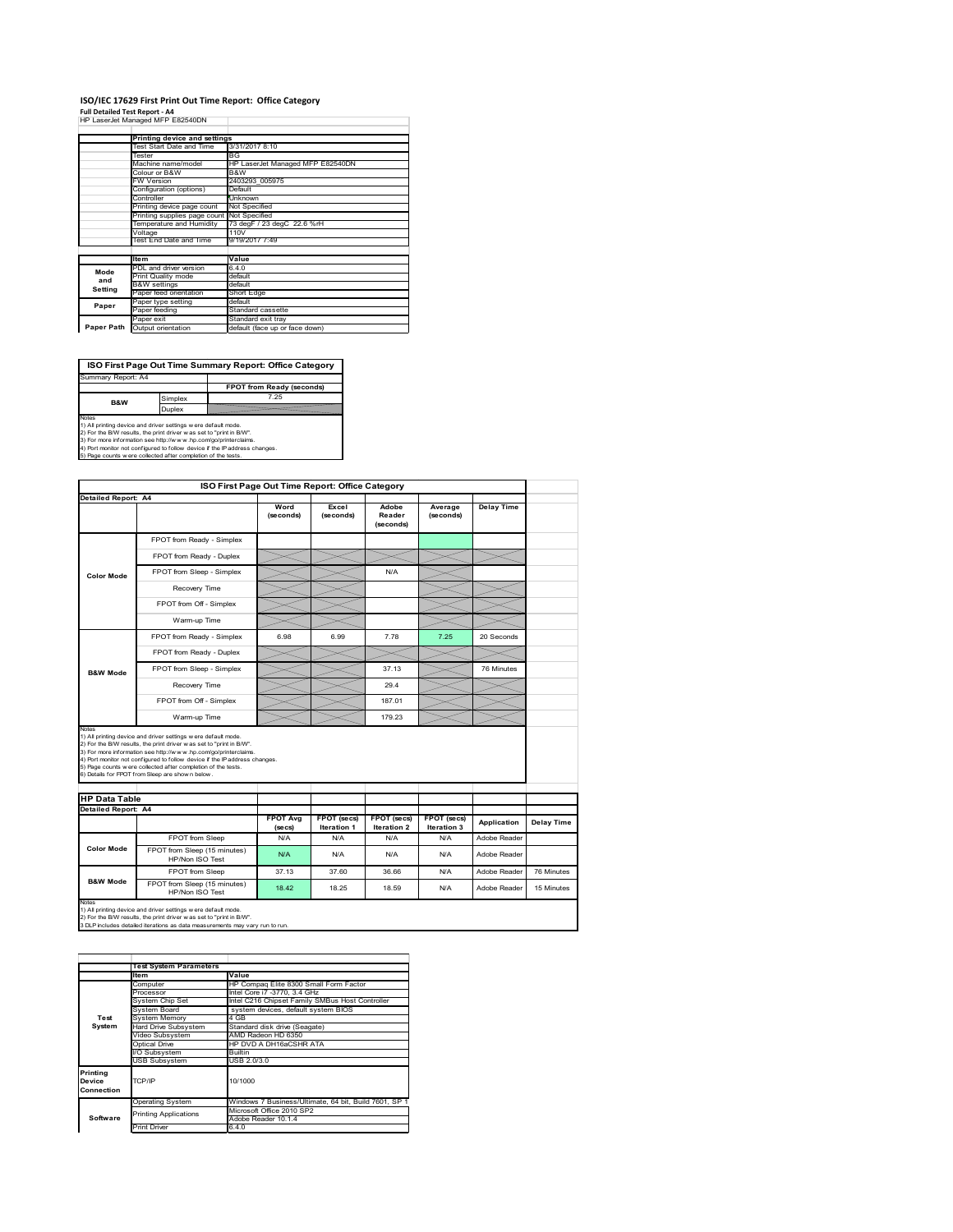#### **ISO/IEC 17629 First Print Out Time Report: Office Category**

**Full Detailed Test Report ‐ A4** HP LaserJet Managed MFP E82540DN

|            | cassive, managed m. . coconoon,            |                                  |  |  |
|------------|--------------------------------------------|----------------------------------|--|--|
|            |                                            |                                  |  |  |
|            | Printing device and settings               |                                  |  |  |
|            | Test Start Date and Time                   | 3/31/2017 8:10                   |  |  |
|            | Tester                                     | BG                               |  |  |
|            | Machine name/model                         | HP LaserJet Managed MFP E82540DN |  |  |
|            | Colour or B&W                              | B&W                              |  |  |
|            | <b>FW Version</b>                          | 2403293 005975                   |  |  |
|            | Configuration (options)                    | Default                          |  |  |
|            | Controller                                 | Unknown                          |  |  |
|            | Printing device page count                 | Not Specified                    |  |  |
|            | Printing supplies page count Not Specified |                                  |  |  |
|            | Temperature and Humidity                   | 73 degF / 23 degC 22.6 %rH       |  |  |
|            | Voltage                                    | 110V                             |  |  |
|            | Test End Date and Time                     | 9/19/2017 7:49                   |  |  |
|            |                                            |                                  |  |  |
|            | <b>Item</b>                                | Value                            |  |  |
| Mode       | PDL and driver version                     | 6.4.0                            |  |  |
| and        | Print Quality mode                         | default                          |  |  |
| Setting    | <b>B&amp;W</b> settings                    | default                          |  |  |
|            | Paper feed orientation                     | Short Edge                       |  |  |
| Paper      | Paper type setting                         | default                          |  |  |
|            | Paper feeding                              | Standard cassette                |  |  |
|            | Paper exit                                 | Standard exit tray               |  |  |
| Paper Path | Output orientation                         | default (face up or face down)   |  |  |



|                      |                                                                                                                                                                                                                                                                                                                                                                                                             | ISO First Page Out Time Report: Office Category |                            |                                   |                            |                   |            |  |
|----------------------|-------------------------------------------------------------------------------------------------------------------------------------------------------------------------------------------------------------------------------------------------------------------------------------------------------------------------------------------------------------------------------------------------------------|-------------------------------------------------|----------------------------|-----------------------------------|----------------------------|-------------------|------------|--|
| Detailed Report: A4  |                                                                                                                                                                                                                                                                                                                                                                                                             |                                                 |                            |                                   |                            |                   |            |  |
|                      |                                                                                                                                                                                                                                                                                                                                                                                                             | Word<br>(seconds)                               | Excel<br>(seconds)         | Adobe<br>Reader<br>(seconds)      | Average<br>(seconds)       | <b>Delay Time</b> |            |  |
|                      | FPOT from Ready - Simplex                                                                                                                                                                                                                                                                                                                                                                                   |                                                 |                            |                                   |                            |                   |            |  |
|                      | FPOT from Ready - Duplex                                                                                                                                                                                                                                                                                                                                                                                    |                                                 |                            |                                   |                            |                   |            |  |
| <b>Color Mode</b>    | FPOT from Sleep - Simplex                                                                                                                                                                                                                                                                                                                                                                                   |                                                 |                            | N/A                               |                            |                   |            |  |
|                      | Recovery Time                                                                                                                                                                                                                                                                                                                                                                                               |                                                 |                            |                                   |                            |                   |            |  |
|                      | FPOT from Off - Simplex                                                                                                                                                                                                                                                                                                                                                                                     |                                                 |                            |                                   |                            |                   |            |  |
|                      | Warm-up Time                                                                                                                                                                                                                                                                                                                                                                                                |                                                 |                            |                                   |                            |                   |            |  |
|                      | FPOT from Ready - Simplex                                                                                                                                                                                                                                                                                                                                                                                   | 6.98                                            | 6.99                       | 7.78                              | 7.25                       | 20 Seconds        |            |  |
|                      | FPOT from Ready - Duplex                                                                                                                                                                                                                                                                                                                                                                                    |                                                 |                            |                                   |                            |                   |            |  |
| <b>B&amp;W Mode</b>  | FPOT from Sleep - Simplex                                                                                                                                                                                                                                                                                                                                                                                   |                                                 |                            | 37.13                             |                            | 76 Minutes        |            |  |
|                      | Recovery Time                                                                                                                                                                                                                                                                                                                                                                                               |                                                 |                            | 29.4                              |                            |                   |            |  |
|                      | FPOT from Off - Simplex                                                                                                                                                                                                                                                                                                                                                                                     |                                                 |                            | 187.01                            |                            |                   |            |  |
|                      | Warm-up Time                                                                                                                                                                                                                                                                                                                                                                                                |                                                 |                            | 179.23                            |                            |                   |            |  |
| Notes                |                                                                                                                                                                                                                                                                                                                                                                                                             |                                                 |                            |                                   |                            |                   |            |  |
|                      | 1) All printing device and driver settings w ere default mode.<br>2) For the B/W results, the print driver was set to "print in B/W".<br>3) For more information see http://www.hp.com/go/printerclaims.<br>4) Port monitor not configured to follow device if the IP address changes.<br>5) Page counts w ere collected after completion of the tests.<br>6) Details for FPOT from Sleep are show n below. |                                                 |                            |                                   |                            |                   |            |  |
| <b>HP Data Table</b> |                                                                                                                                                                                                                                                                                                                                                                                                             |                                                 |                            |                                   |                            |                   |            |  |
| Detailed Report: A4  |                                                                                                                                                                                                                                                                                                                                                                                                             | <b>FPOT Avg</b><br>(se cs)                      | FPOT (secs)<br>Iteration 1 | <b>FPOT</b> (secs)<br>Iteration 2 | FPOT (secs)<br>Iteration 3 | Application       |            |  |
|                      | FPOT from Sleep                                                                                                                                                                                                                                                                                                                                                                                             | N/A                                             | N/A                        | N/A                               | N/A                        | Adobe Reader      | Delay Time |  |
| <b>Color Mode</b>    | FPOT from Sleep (15 minutes)<br>HP/Non ISO Test                                                                                                                                                                                                                                                                                                                                                             | N/A                                             | N/A                        | N/A                               | N/A                        | Adobe Reader      |            |  |
|                      | FPOT from Sleep                                                                                                                                                                                                                                                                                                                                                                                             | 37.13                                           | 37.60                      | 36.66                             | N/A                        | Adobe Reader      | 76 Minutes |  |

1) All printing device and driver settings w ere default mode.<br>2) For the B/W results, the print driver w as set to "print in B/W".<br>3 DLP includes detailed iterations as data measurements may vary run to run.

|            | <b>Test System Parameters</b> |                                                       |  |  |
|------------|-------------------------------|-------------------------------------------------------|--|--|
|            | <b>Item</b>                   | Value                                                 |  |  |
|            | Computer                      | HP Compaq Elite 8300 Small Form Factor                |  |  |
|            | Processor                     | Intel Core i7 -3770, 3.4 GHz                          |  |  |
|            | System Chip Set               | Intel C216 Chipset Family SMBus Host Controller       |  |  |
|            | <b>System Board</b>           | system devices, default system BIOS                   |  |  |
| Test       | <b>System Memory</b>          | 4 GB                                                  |  |  |
| System     | <b>Hard Drive Subsystem</b>   | Standard disk drive (Seagate)                         |  |  |
|            | Video Subsystem               | AMD Radeon HD 6350                                    |  |  |
|            | Optical Drive                 | HP DVD A DH16aCSHR ATA                                |  |  |
|            | I/O Subsystem                 | <b>Builtin</b>                                        |  |  |
|            | <b>USB Subsystem</b>          | USB 2.0/3.0                                           |  |  |
| Printing   |                               |                                                       |  |  |
| Device     | TCP/IP                        | 10/1000                                               |  |  |
| Connection |                               |                                                       |  |  |
|            | <b>Operating System</b>       | Windows 7 Business/Ultimate, 64 bit, Build 7601, SP 1 |  |  |
|            | <b>Printing Applications</b>  | Microsoft Office 2010 SP2                             |  |  |
| Software   |                               | Adobe Reader 10.1.4                                   |  |  |
|            | <b>Print Driver</b>           | 6.4.0                                                 |  |  |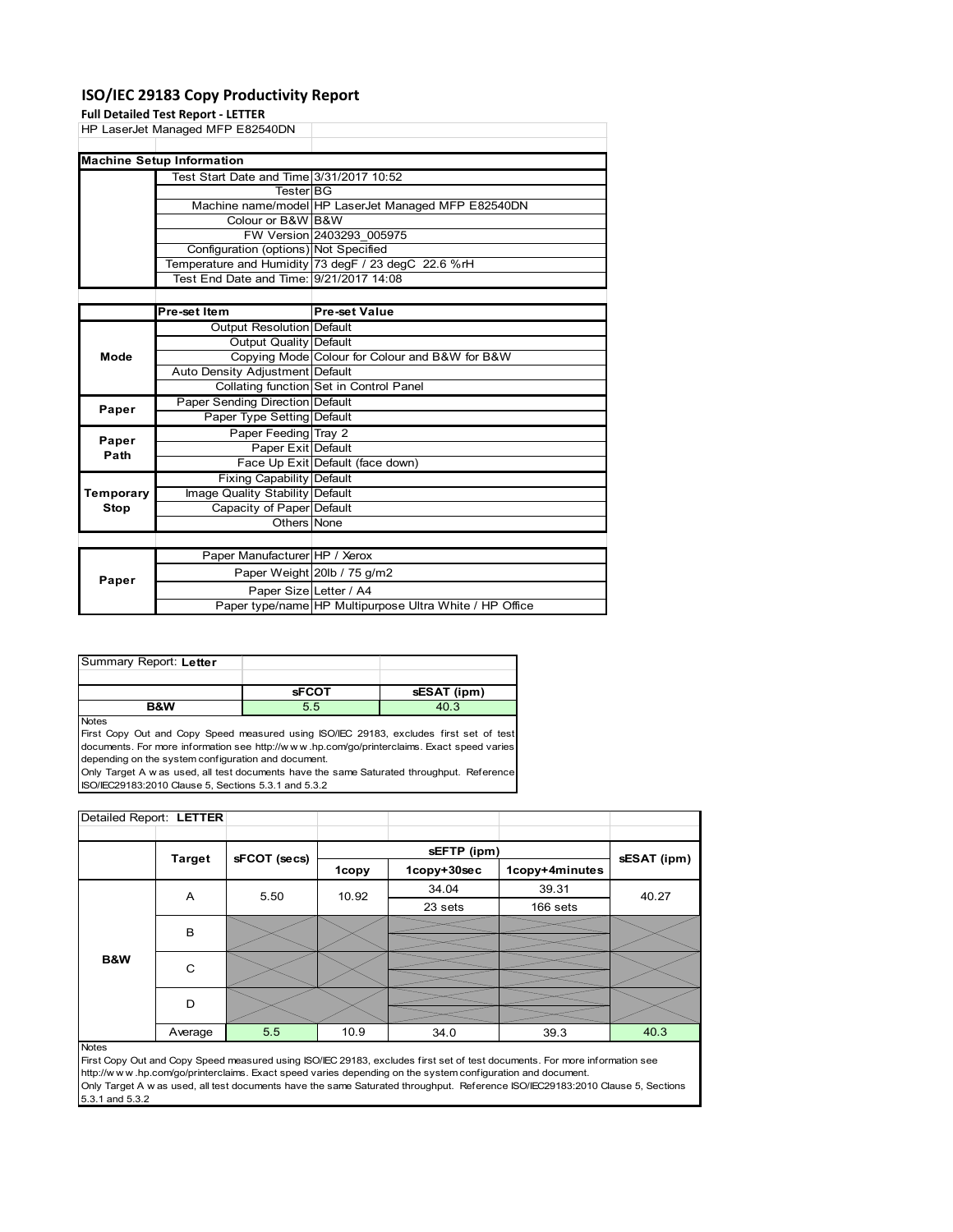## **ISO/IEC 29183 Copy Productivity Report**

|           | <b>Full Detailed Test Report - LETTER</b> |                                                     |
|-----------|-------------------------------------------|-----------------------------------------------------|
|           | HP LaserJet Managed MFP E82540DN          |                                                     |
|           |                                           |                                                     |
|           | <b>Machine Setup Information</b>          |                                                     |
|           | Test Start Date and Time 3/31/2017 10:52  |                                                     |
|           | <b>Tester BG</b>                          |                                                     |
|           |                                           | Machine name/model HP LaserJet Managed MFP E82540DN |
|           | Colour or B&W B&W                         |                                                     |
|           |                                           | FW Version 2403293 005975                           |
|           | Configuration (options) Not Specified     |                                                     |
|           |                                           | Temperature and Humidity 73 degF / 23 degC 22.6 %rH |
|           | Test End Date and Time: 9/21/2017 14:08   |                                                     |
|           |                                           |                                                     |
|           | Pre-set Item                              | <b>Pre-set Value</b>                                |
|           | Output Resolution Default                 |                                                     |
|           | Output Quality Default                    |                                                     |
| Mode      |                                           | Copying Mode Colour for Colour and B&W for B&W      |
|           | Auto Density Adjustment Default           |                                                     |
|           |                                           | Collating function Set in Control Panel             |
| Paper     | Paper Sending Direction Default           |                                                     |
|           | Paper Type Setting Default                |                                                     |
| Paper     | Paper Feeding Tray 2                      |                                                     |
| Path      | Paper Exit Default                        |                                                     |
|           |                                           | Face Up Exit Default (face down)                    |
|           | Fixing Capability Default                 |                                                     |
| Temporary | Image Quality Stability Default           |                                                     |
| Stop      | Capacity of Paper Default                 |                                                     |
|           | Others None                               |                                                     |
|           |                                           |                                                     |
|           | Paper Manufacturer HP / Xerox             |                                                     |
| Paper     |                                           | Paper Weight 20lb / 75 g/m2                         |
|           | Paper Size Letter / A4                    |                                                     |

| Summary Report: Letter |              |             |
|------------------------|--------------|-------------|
|                        |              |             |
|                        | <b>SFCOT</b> | sESAT (ipm) |
| <b>B&amp;W</b>         | 5.5          | 4በ 3        |

Notes

First Copy Out and Copy Speed measured using ISO/IEC 29183, excludes first set of test documents. For more information see http://w w w .hp.com/go/printerclaims. Exact speed varies depending on the system configuration and document.

Only Target A w as used, all test documents have the same Saturated throughput. Reference ISO/IEC29183:2010 Clause 5, Sections 5.3.1 and 5.3.2

| Detailed Report: LETTER |               |              |       |             |                |             |
|-------------------------|---------------|--------------|-------|-------------|----------------|-------------|
|                         |               |              |       | sEFTP (ipm) |                |             |
|                         | <b>Target</b> | sFCOT (secs) | 1copy | 1copy+30sec | 1copy+4minutes | sESAT (ipm) |
|                         | A             | 5.50         | 10.92 | 34.04       | 39.31          | 40.27       |
|                         |               |              |       | 23 sets     | 166 sets       |             |
|                         | B             |              |       |             |                |             |
|                         |               |              |       |             |                |             |
| B&W                     | C             |              |       |             |                |             |
|                         |               |              |       |             |                |             |
|                         | D             |              |       |             |                |             |
|                         |               |              |       |             |                |             |
|                         | Average       | 5.5          | 10.9  | 34.0        | 39.3           | 40.3        |

Paper type/name HP Multipurpose Ultra White / HP Office

Notes

First Copy Out and Copy Speed measured using ISO/IEC 29183, excludes first set of test documents. For more information see http://w w w .hp.com/go/printerclaims. Exact speed varies depending on the system configuration and document. Only Target A w as used, all test documents have the same Saturated throughput. Reference ISO/IEC29183:2010 Clause 5, Sections 5.3.1 and 5.3.2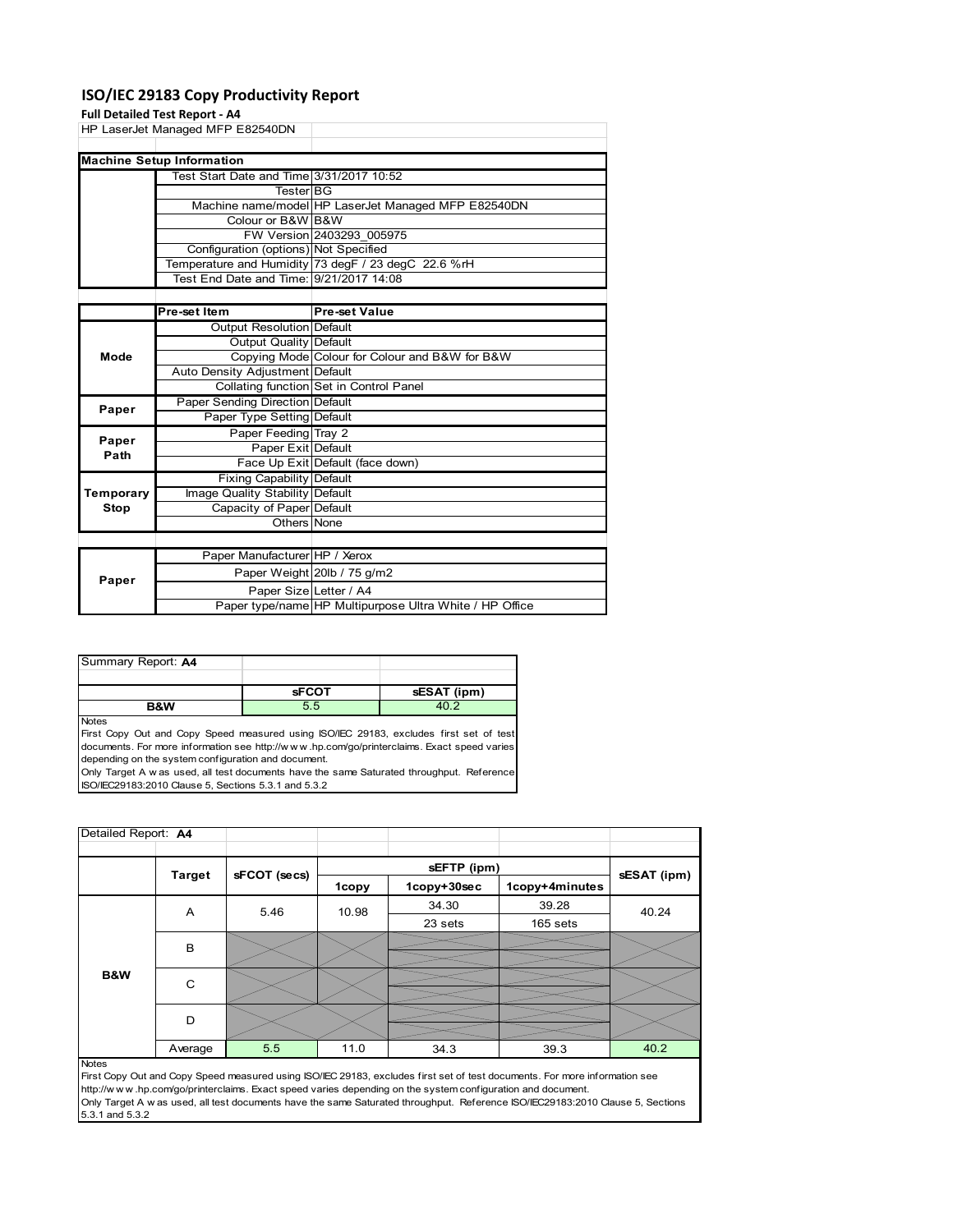## **ISO/IEC 29183 Copy Productivity Report**

## **Full Detailed Test P**

|              | Full Detailed Test Report - A4           |                                                     |
|--------------|------------------------------------------|-----------------------------------------------------|
|              | HP LaserJet Managed MFP E82540DN         |                                                     |
|              |                                          |                                                     |
|              | <b>Machine Setup Information</b>         |                                                     |
|              | Test Start Date and Time 3/31/2017 10:52 |                                                     |
|              | <b>Tester BG</b>                         |                                                     |
|              |                                          | Machine name/model HP LaserJet Managed MFP E82540DN |
|              | Colour or B&W B&W                        |                                                     |
|              |                                          | FW Version 2403293_005975                           |
|              | Configuration (options) Not Specified    |                                                     |
|              |                                          | Temperature and Humidity 73 degF / 23 degC 22.6 %rH |
|              | Test End Date and Time: 9/21/2017 14:08  |                                                     |
|              |                                          |                                                     |
|              | Pre-set Item                             | Pre-set Value                                       |
|              | Output Resolution Default                |                                                     |
|              | Output Quality Default                   |                                                     |
| Mode         |                                          | Copying Mode Colour for Colour and B&W for B&W      |
|              | Auto Density Adjustment Default          |                                                     |
|              |                                          | Collating function Set in Control Panel             |
| Paper        | Paper Sending Direction Default          |                                                     |
|              | Paper Type Setting Default               |                                                     |
| Paper        | Paper Feeding Tray 2                     |                                                     |
| Path         | Paper Exit Default                       |                                                     |
|              |                                          | Face Up Exit Default (face down)                    |
|              | <b>Fixing Capability Default</b>         |                                                     |
| Temporary    | Image Quality Stability Default          |                                                     |
| <b>Stop</b>  | Capacity of Paper Default                |                                                     |
|              | Others None                              |                                                     |
|              |                                          |                                                     |
|              | Paper Manufacturer HP / Xerox            |                                                     |
| <b>Donor</b> |                                          | Paper Weight 20lb / 75 g/m2                         |

| Summary Report: A4 |              |             |
|--------------------|--------------|-------------|
|                    |              |             |
|                    | <b>sFCOT</b> | sESAT (ipm) |
| B&W                |              |             |

Paper Size Letter / A4

Paper type/name HP Multipurpose Ultra White / HP Office

Notes

**Paper**

First Copy Out and Copy Speed measured using ISO/IEC 29183, excludes first set of test documents. For more information see http://w w w .hp.com/go/printerclaims. Exact speed varies depending on the system configuration and document.

Only Target A w as used, all test documents have the same Saturated throughput. Reference ISO/IEC29183:2010 Clause 5, Sections 5.3.1 and 5.3.2

| Detailed Report: A4 |               |              |       |             |                |             |
|---------------------|---------------|--------------|-------|-------------|----------------|-------------|
|                     |               |              |       | sEFTP (ipm) |                |             |
|                     | <b>Target</b> | sFCOT (secs) | 1copy | 1copy+30sec | 1copy+4minutes | sESAT (ipm) |
|                     | A             | 5.46         | 10.98 | 34.30       | 39.28          | 40.24       |
|                     |               |              |       | 23 sets     | 165 sets       |             |
|                     | B             |              |       |             |                |             |
| B&W                 | C             |              |       |             |                |             |
|                     | D             |              |       |             |                |             |
|                     | Average       | 5.5          | 11.0  | 34.3        | 39.3           | 40.2        |
| <b>Notes</b>        |               |              |       |             |                |             |

First Copy Out and Copy Speed measured using ISO/IEC 29183, excludes first set of test documents. For more information see http://w w w .hp.com/go/printerclaims. Exact speed varies depending on the system configuration and document. Only Target A w as used, all test documents have the same Saturated throughput. Reference ISO/IEC29183:2010 Clause 5, Sections 5.3.1 and 5.3.2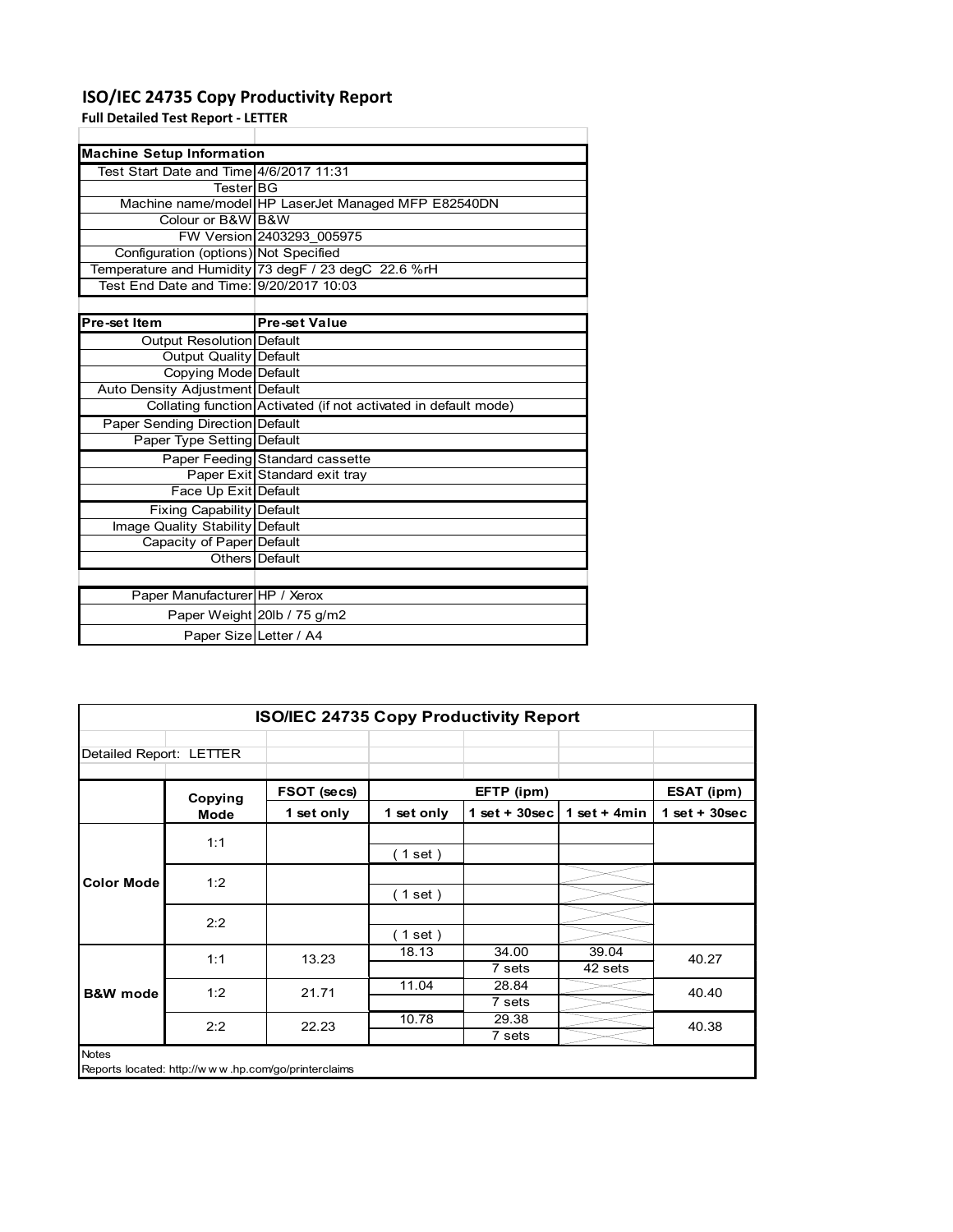## **ISO/IEC 24735 Copy Productivity Report**

**Full Detailed Test Report ‐ LETTER**

|                                         | <b>Machine Setup Information</b>                                |  |  |  |  |  |
|-----------------------------------------|-----------------------------------------------------------------|--|--|--|--|--|
| Test Start Date and Time 4/6/2017 11:31 |                                                                 |  |  |  |  |  |
| TesterIBG                               |                                                                 |  |  |  |  |  |
|                                         | Machine name/model HP LaserJet Managed MFP E82540DN             |  |  |  |  |  |
| Colour or B&W B&W                       |                                                                 |  |  |  |  |  |
|                                         | FW Version 2403293 005975                                       |  |  |  |  |  |
| Configuration (options) Not Specified   |                                                                 |  |  |  |  |  |
|                                         | Temperature and Humidity 73 degF / 23 degC 22.6 %rH             |  |  |  |  |  |
| Test End Date and Time: 9/20/2017 10:03 |                                                                 |  |  |  |  |  |
|                                         |                                                                 |  |  |  |  |  |
| Pre-set Item                            | <b>Pre-set Value</b>                                            |  |  |  |  |  |
| <b>Output Resolution Default</b>        |                                                                 |  |  |  |  |  |
| Output Quality Default                  |                                                                 |  |  |  |  |  |
| Copying Mode Default                    |                                                                 |  |  |  |  |  |
| Auto Density Adjustment Default         |                                                                 |  |  |  |  |  |
|                                         | Collating function Activated (if not activated in default mode) |  |  |  |  |  |
| <b>Paper Sending Direction Default</b>  |                                                                 |  |  |  |  |  |
| Paper Type Setting Default              |                                                                 |  |  |  |  |  |
|                                         | Paper Feeding Standard cassette                                 |  |  |  |  |  |
|                                         | Paper Exit Standard exit tray                                   |  |  |  |  |  |
| Face Up Exit Default                    |                                                                 |  |  |  |  |  |
| Fixing Capability Default               |                                                                 |  |  |  |  |  |
| Image Quality Stability Default         |                                                                 |  |  |  |  |  |
| Capacity of Paper Default               |                                                                 |  |  |  |  |  |
|                                         | Others Default                                                  |  |  |  |  |  |
|                                         |                                                                 |  |  |  |  |  |
| Paper Manufacturer HP / Xerox           |                                                                 |  |  |  |  |  |
|                                         | Paper Weight 20lb / 75 g/m2                                     |  |  |  |  |  |
| Paper Size Letter / A4                  |                                                                 |  |  |  |  |  |

| <b>ISO/IEC 24735 Copy Productivity Report</b> |                                                     |             |            |                  |                  |                 |
|-----------------------------------------------|-----------------------------------------------------|-------------|------------|------------------|------------------|-----------------|
| Detailed Report: LETTER                       |                                                     |             |            |                  |                  |                 |
|                                               | Copying                                             | FSOT (secs) |            | EFTP (ipm)       |                  | ESAT (ipm)      |
|                                               | Mode                                                | 1 set only  | 1 set only | 1 set + $30$ sec | 1 set + $4min$   | $1$ set + 30sec |
|                                               | 1:1                                                 |             | (1 set)    |                  |                  |                 |
| <b>Color Mode</b>                             | 1:2                                                 |             | (1 set )   |                  |                  |                 |
|                                               | 2:2                                                 |             | (1 set)    |                  |                  |                 |
|                                               | 1:1                                                 | 13.23       | 18.13      | 34.00<br>7 sets  | 39.04<br>42 sets | 40.27           |
| <b>B&amp;W</b> mode                           | 1:2                                                 | 21.71       | 11.04      | 28.84<br>7 sets  |                  | 40.40           |
|                                               | 2:2                                                 | 22.23       | 10.78      | 29.38<br>7 sets  |                  | 40.38           |
| <b>Notes</b>                                  | Reports located: http://www.hp.com/go/printerclaims |             |            |                  |                  |                 |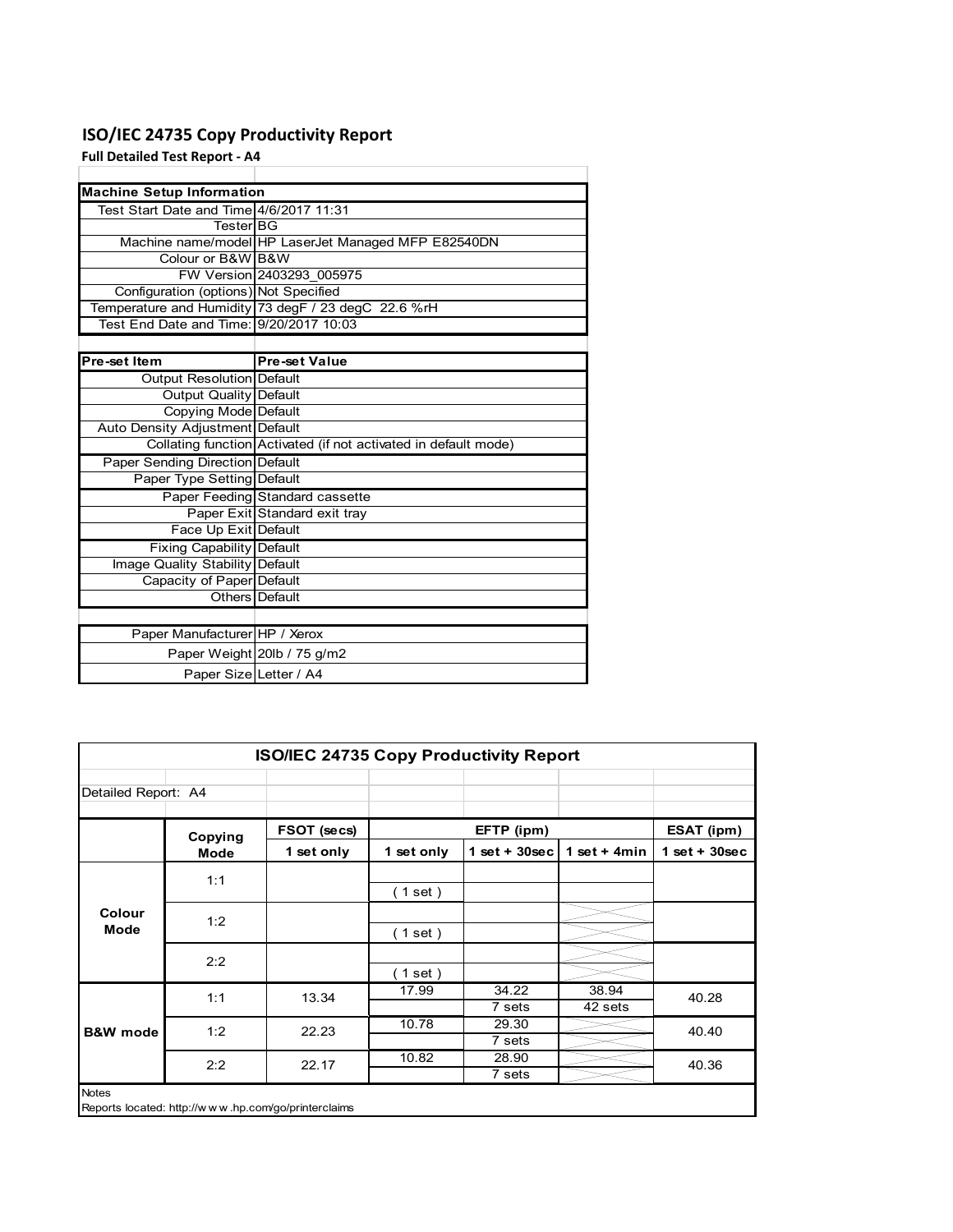## **ISO/IEC 24735 Copy Productivity Report**

**Full Detailed Test Report ‐ A4**

| <b>Machine Setup Information</b>        |                                                                 |
|-----------------------------------------|-----------------------------------------------------------------|
| Test Start Date and Time 4/6/2017 11:31 |                                                                 |
| <b>TesterIBG</b>                        |                                                                 |
|                                         | Machine name/model HP LaserJet Managed MFP E82540DN             |
| Colour or B&W B&W                       |                                                                 |
|                                         | FW Version 2403293 005975                                       |
| Configuration (options) Not Specified   |                                                                 |
|                                         | Temperature and Humidity 73 degF / 23 degC 22.6 %rH             |
| Test End Date and Time: 9/20/2017 10:03 |                                                                 |
|                                         |                                                                 |
| Pre-set Item                            | <b>Pre-set Value</b>                                            |
| Output Resolution Default               |                                                                 |
| Output Quality Default                  |                                                                 |
| Copying Mode Default                    |                                                                 |
| Auto Density Adjustment Default         |                                                                 |
|                                         | Collating function Activated (if not activated in default mode) |
| Paper Sending Direction Default         |                                                                 |
| Paper Type Setting Default              |                                                                 |
|                                         | Paper Feeding Standard cassette                                 |
|                                         | Paper Exit Standard exit tray                                   |
| Face Up Exit Default                    |                                                                 |
| <b>Fixing Capability Default</b>        |                                                                 |
| Image Quality Stability Default         |                                                                 |
| Capacity of Paper Default               |                                                                 |
|                                         | Others Default                                                  |
|                                         |                                                                 |
| Paper Manufacturer HP / Xerox           |                                                                 |
|                                         | Paper Weight 20lb / 75 g/m2                                     |
| Paper Size Letter / A4                  |                                                                 |

| <b>ISO/IEC 24735 Copy Productivity Report</b> |                                                     |             |            |                  |                  |                 |  |  |  |
|-----------------------------------------------|-----------------------------------------------------|-------------|------------|------------------|------------------|-----------------|--|--|--|
| Detailed Report: A4                           |                                                     |             |            |                  |                  |                 |  |  |  |
|                                               | Copying                                             | FSOT (secs) |            | EFTP (ipm)       |                  | ESAT (ipm)      |  |  |  |
|                                               | <b>Mode</b>                                         | 1 set only  | 1 set only | 1 set + $30$ sec | 1 set + $4min$   | $1$ set + 30sec |  |  |  |
|                                               | 1:1                                                 |             | (1 set)    |                  |                  |                 |  |  |  |
| Colour<br>Mode                                | 1:2                                                 |             | (1 set)    |                  |                  |                 |  |  |  |
|                                               | 2:2                                                 |             | (1 set)    |                  |                  |                 |  |  |  |
|                                               | 1:1                                                 | 13.34       | 17.99      | 34.22<br>7 sets  | 38.94<br>42 sets | 40.28           |  |  |  |
| <b>B&amp;W</b> mode                           | 1:2                                                 | 22.23       | 10.78      | 29.30<br>7 sets  |                  | 40.40           |  |  |  |
|                                               | 2:2                                                 | 22.17       | 10.82      | 28.90<br>7 sets  |                  | 40.36           |  |  |  |
| <b>Notes</b>                                  | Reports located: http://www.hp.com/go/printerclaims |             |            |                  |                  |                 |  |  |  |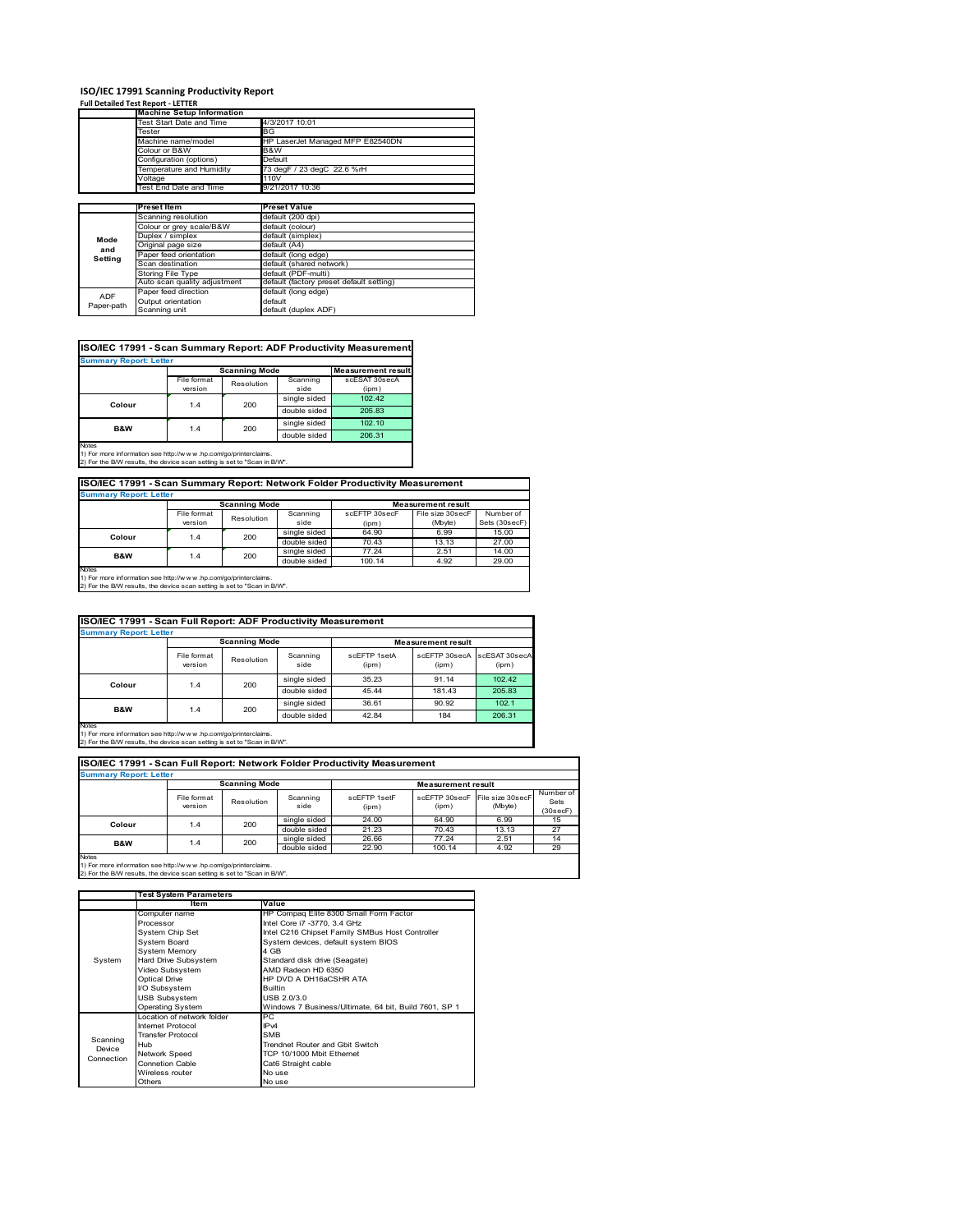## **ISO/IEC 17991 Scanning Productivity Report Full Detailed Test Report ‐ LETTER**

|            | <b>Machine Setup Information</b> |                                          |  |  |  |  |
|------------|----------------------------------|------------------------------------------|--|--|--|--|
|            | Test Start Date and Time         | 4/3/2017 10:01                           |  |  |  |  |
|            | Tester                           | BG                                       |  |  |  |  |
|            | Machine name/model               | HP LaserJet Managed MFP E82540DN         |  |  |  |  |
|            | Colour or B&W                    | B&W                                      |  |  |  |  |
|            | Configuration (options)          | Default                                  |  |  |  |  |
|            | Temperature and Humidity         | 73 degF / 23 degC 22.6 %rH               |  |  |  |  |
|            | Voltage                          | 110V                                     |  |  |  |  |
|            | Test End Date and Time           | 9/21/2017 10:36                          |  |  |  |  |
|            |                                  |                                          |  |  |  |  |
|            | Preset Item                      | <b>Preset Value</b>                      |  |  |  |  |
|            | Scanning resolution              | default (200 dpi)                        |  |  |  |  |
|            | Colour or grey scale/B&W         | default (colour)                         |  |  |  |  |
| Mode       | Duplex / simplex                 | default (simplex)                        |  |  |  |  |
| and        | Original page size               | default (A4)                             |  |  |  |  |
| Setting    | Paper feed orientation           | default (long edge)                      |  |  |  |  |
|            | Scan destination                 | default (shared network)                 |  |  |  |  |
|            | <b>Storing File Type</b>         | default (PDF-multi)                      |  |  |  |  |
|            | Auto scan quality adjustment     | default (factory preset default setting) |  |  |  |  |
| <b>ADF</b> | Paper feed direction             | default (long edge)                      |  |  |  |  |
|            | Output orientation               | default                                  |  |  |  |  |
| Paper-path |                                  |                                          |  |  |  |  |

| <b>Summary Report: Letter</b> |             |                      |              |                           |  |  |  |  |  |
|-------------------------------|-------------|----------------------|--------------|---------------------------|--|--|--|--|--|
|                               |             | <b>Scanning Mode</b> |              | <b>Measurement result</b> |  |  |  |  |  |
|                               | File format | Resolution           | Scanning     | scESAT 30secA             |  |  |  |  |  |
|                               | version     |                      | side         | (ipm)                     |  |  |  |  |  |
| Colour                        | 1.4         | 200                  | single sided | 102.42                    |  |  |  |  |  |
|                               |             |                      | double sided | 205.83                    |  |  |  |  |  |
| <b>B&amp;W</b>                | 1.4         | 200                  | single sided | 102.10                    |  |  |  |  |  |
|                               |             |                      | double sided | 206.31                    |  |  |  |  |  |
| <b>Notes</b>                  |             |                      |              |                           |  |  |  |  |  |

**ISO/IEC 17991 - Scan Summary Report: Network Folder Productivity Measurement**

| <b>Summary Report: Letter</b> |                      |            |              |                           |                  |               |  |
|-------------------------------|----------------------|------------|--------------|---------------------------|------------------|---------------|--|
|                               | <b>Scanning Mode</b> |            |              | <b>Measurement result</b> |                  |               |  |
|                               | File format          | Resolution | Scanning     | scEFTP 30secF             | File size 30secF | Number of     |  |
|                               | version              |            | side         | (ipm)                     | (Mbyte)          | Sets (30secF) |  |
| Colour                        | 1.4                  | 200        | single sided | 64.90                     | 6.99             | 15.00         |  |
|                               |                      |            | double sided | 70.43                     | 13.13            | 27.00         |  |
| B&W                           | 1.4                  | 200        | single sided | 77.24                     | 2.51             | 14.00         |  |
|                               |                      |            | double sided | 100.14                    | 4.92             | 29.00         |  |
| <b>Notes</b>                  |                      |            |              |                           |                  |               |  |

┓

Notes 1) For more information see http://w w w .hp.com/go/printerclaims. 2) For the B/W results, the device scan setting is set to "Scan in B/W".

| ISO/IEC 17991 - Scan Full Report: ADF Productivity Measurement |                        |                      |                  |                       |                           |                        |  |  |
|----------------------------------------------------------------|------------------------|----------------------|------------------|-----------------------|---------------------------|------------------------|--|--|
| <b>Summary Report: Letter</b>                                  |                        |                      |                  |                       |                           |                        |  |  |
|                                                                |                        | <b>Scanning Mode</b> |                  |                       | <b>Measurement result</b> |                        |  |  |
|                                                                | File format<br>version | Resolution           | Scanning<br>side | scFFTP 1setA<br>(ipm) | scEFTP 30secA<br>(ipm)    | scESAT 30secA<br>(ipm) |  |  |
| Colour                                                         |                        | 200<br>1.4           | single sided     | 35.23                 | 91.14                     | 102.42                 |  |  |
|                                                                |                        |                      | double sided     | 45.44                 | 181.43                    | 205.83                 |  |  |
| <b>B&amp;W</b>                                                 |                        | 200                  | single sided     | 36.61                 | 90.92                     | 102.1                  |  |  |
|                                                                | 1.4                    |                      | double sided     | 42.84                 | 184                       | 206.31                 |  |  |
| <b>Notes</b>                                                   |                        |                      |                  |                       |                           |                        |  |  |

Notes 1) For more information see http://w w w .hp.com/go/printerclaims. 2) For the B/W results, the device scan setting is set to "Scan in B/W".

| ISO/IEC 17991 - Scan Full Report: Network Folder Productivity Measurement |                        |                      |                  |                           |                        |                             |                               |  |  |  |
|---------------------------------------------------------------------------|------------------------|----------------------|------------------|---------------------------|------------------------|-----------------------------|-------------------------------|--|--|--|
| <b>Summary Report: Letter</b>                                             |                        |                      |                  |                           |                        |                             |                               |  |  |  |
|                                                                           |                        | <b>Scanning Mode</b> |                  | <b>Measurement result</b> |                        |                             |                               |  |  |  |
|                                                                           | File format<br>version | Resolution           | Scanning<br>side | scFFTP 1setF<br>(ipm)     | scEFTP 30secF<br>(ipm) | File size 30secF<br>(Mbyte) | Number of<br>Sets<br>(30secF) |  |  |  |
| Colour                                                                    | 1.4                    | 200                  | single sided     | 24.00                     | 64.90                  | 6.99                        | 15                            |  |  |  |
|                                                                           |                        |                      | double sided     | 21.23                     | 70.43                  | 13.13                       | 27                            |  |  |  |
| <b>B&amp;W</b>                                                            | 1.4                    | 200                  | single sided     | 26.66                     | 77.24                  | 2.51                        | 14                            |  |  |  |
|                                                                           |                        |                      | double sided     | 22.90                     | 100.14                 | 4.92                        | 29                            |  |  |  |
| <b>Notes</b>                                                              |                        |                      |                  |                           |                        |                             |                               |  |  |  |

|            | <b>Test System Parameters</b> |                                                       |  |  |  |
|------------|-------------------------------|-------------------------------------------------------|--|--|--|
|            | Item                          | Value                                                 |  |  |  |
|            | Computer name                 | HP Compaq Elite 8300 Small Form Factor                |  |  |  |
|            | Processor                     | Intel Core i7 -3770, 3.4 GHz                          |  |  |  |
|            | System Chip Set               | Intel C216 Chipset Family SMBus Host Controller       |  |  |  |
|            | <b>System Board</b>           | System devices, default system BIOS                   |  |  |  |
|            | <b>System Memory</b>          | 4 GB                                                  |  |  |  |
| System     | Hard Drive Subsystem          | Standard disk drive (Seagate)                         |  |  |  |
|            | Video Subsystem               | AMD Radeon HD 6350                                    |  |  |  |
|            | Optical Drive                 | HP DVD A DH16aCSHR ATA                                |  |  |  |
|            | I/O Subsystem                 | <b>Builtin</b>                                        |  |  |  |
|            | <b>USB Subsystem</b>          | USB 2.0/3.0                                           |  |  |  |
|            | <b>Operating System</b>       | Windows 7 Business/Ultimate, 64 bit, Build 7601, SP 1 |  |  |  |
|            | I ocation of network folder   | PC.                                                   |  |  |  |
|            | Internet Protocol             | IP <sub>v4</sub>                                      |  |  |  |
| Scanning   | <b>Transfer Protocol</b>      | <b>SMB</b>                                            |  |  |  |
| Device     | Hub                           | Trendnet Router and Gbit Switch                       |  |  |  |
| Connection | Network Speed                 | TCP 10/1000 Mbit Ethernet                             |  |  |  |
|            | <b>Connetion Cable</b>        | Cat6 Straight cable                                   |  |  |  |
|            | Wireless router               | No use                                                |  |  |  |
|            | Others                        | No use                                                |  |  |  |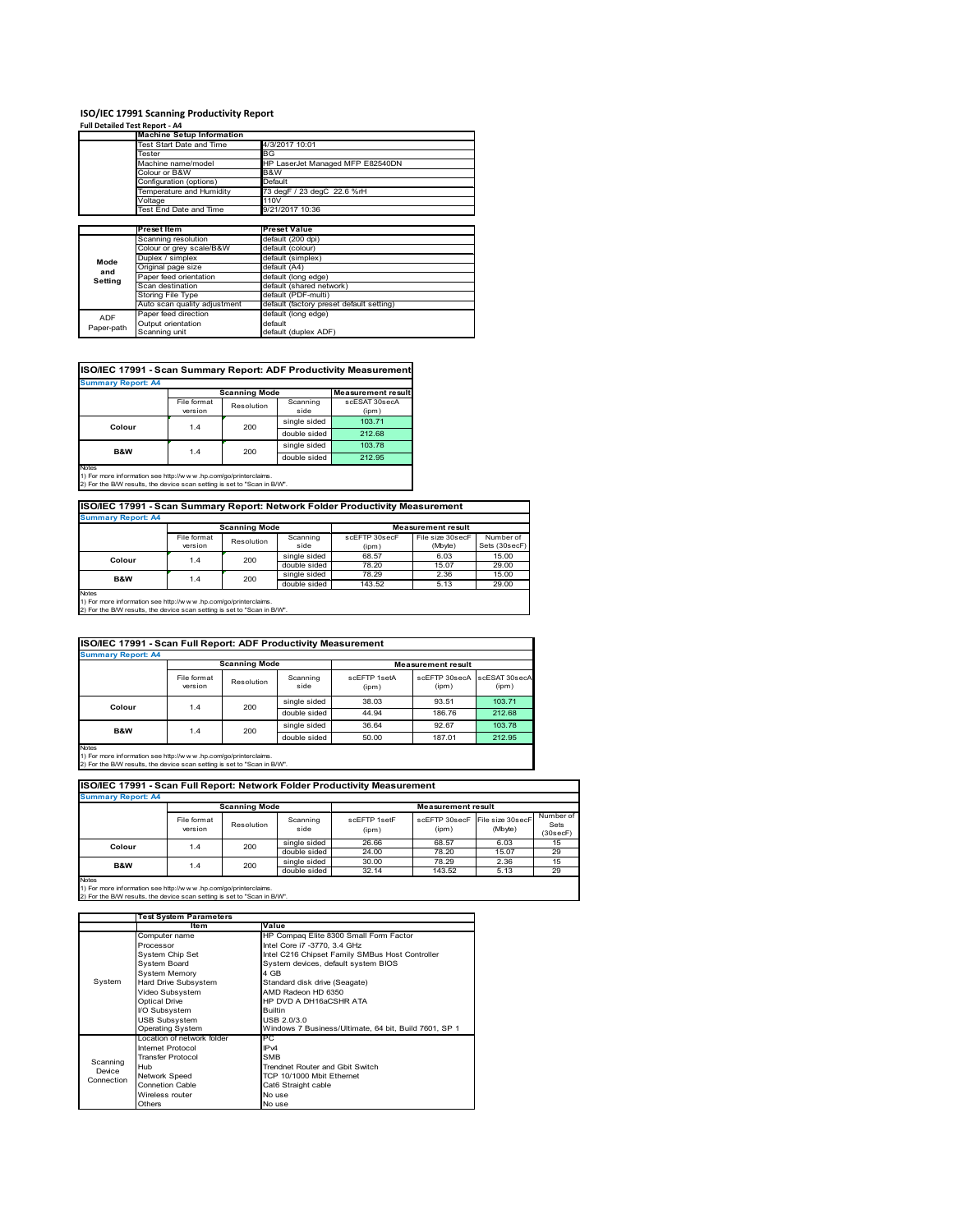#### **ISO/IEC 17991 Scanning Productivity Report Full Detailed Test Report ‐ A4**

|            | <b>Machine Setup Information</b> |                                          |  |  |  |  |
|------------|----------------------------------|------------------------------------------|--|--|--|--|
|            | Test Start Date and Time         | 4/3/2017 10:01                           |  |  |  |  |
|            | Tester                           | BG                                       |  |  |  |  |
|            | Machine name/model               | HP LaserJet Managed MFP E82540DN         |  |  |  |  |
|            | Colour or B&W                    | B&W                                      |  |  |  |  |
|            | Configuration (options)          | Default                                  |  |  |  |  |
|            | Temperature and Humidity         | 73 degF / 23 degC 22.6 %rH               |  |  |  |  |
|            | Voltage                          | 110V                                     |  |  |  |  |
|            | Test End Date and Time           | 9/21/2017 10:36                          |  |  |  |  |
|            |                                  |                                          |  |  |  |  |
|            | <b>Preset Item</b>               | <b>Preset Value</b>                      |  |  |  |  |
|            | Scanning resolution              | default (200 dpi)                        |  |  |  |  |
|            | Colour or grey scale/B&W         | default (colour)                         |  |  |  |  |
| Mode       | Duplex / simplex                 | default (simplex)                        |  |  |  |  |
| and        | Original page size               | default (A4)                             |  |  |  |  |
| Setting    | Paper feed orientation           | default (long edge)                      |  |  |  |  |
|            | Scan destination                 | default (shared network)                 |  |  |  |  |
|            | <b>Storing File Type</b>         | default (PDF-multi)                      |  |  |  |  |
|            | Auto scan quality adjustment     | default (factory preset default setting) |  |  |  |  |
| <b>ADF</b> | Paper feed direction             | default (long edge)                      |  |  |  |  |
| Paper-path | Output orientation               | default                                  |  |  |  |  |
|            | Scanning unit                    | default (duplex ADF)                     |  |  |  |  |

#### **ISO/IEC 17991 - Scan Summary Report: ADF Productivity Measurement**

|                |                        | <b>Scanning Mode</b> |                  | <b>Measurement result</b> |
|----------------|------------------------|----------------------|------------------|---------------------------|
|                | File format<br>version | Resolution           | Scanning<br>side | scESAT 30secA<br>(ipm)    |
| Colour         | 1.4                    | 200                  | single sided     | 103.71                    |
|                |                        |                      | double sided     | 212.68                    |
| <b>B&amp;W</b> | 1.4                    | 200                  | single sided     | 103.78                    |
|                |                        |                      | double sided     | 212.95                    |

1) For more information see http://w w w .hp.com/go/printerclaims. 2) For the B/W results, the device scan setting is set to "Scan in B/W".

#### **ISO/IEC 17991 - Scan Summary Report: Network Folder Productivity Measurement**

| <b>Summary Report: A4</b>                                      |                      |            |              |                           |                  |               |
|----------------------------------------------------------------|----------------------|------------|--------------|---------------------------|------------------|---------------|
|                                                                | <b>Scanning Mode</b> |            |              | <b>Measurement result</b> |                  |               |
|                                                                | File format          | Resolution | Scanning     | scEFTP 30secF             | File size 30secF | Number of     |
|                                                                | version              |            | side         | (ipm)                     | (Mbyte)          | Sets (30secF) |
| Colour                                                         | 1.4                  | 200        | single sided | 68.57                     | 6.03             | 15.00         |
|                                                                |                      |            | double sided | 78.20                     | 15.07            | 29.00         |
| <b>B&amp;W</b>                                                 | 1.4                  | 200        | single sided | 78.29                     | 2.36             | 15.00         |
|                                                                |                      |            | double sided | 143.52                    | 5.13             | 29.00         |
| <b>Notes</b>                                                   |                      |            |              |                           |                  |               |
| 1) For more information see http://www.bp.com/go/printerclaims |                      |            |              |                           |                  |               |

1) For more information see http://w w w .hp.com/go/printerclaims. 2) For the B/W results, the device scan setting is set to "Scan in B/W".

| ISO/IEC 17991 - Scan Full Report: ADF Productivity Measurement |                        |            |                  |                           |                                      |        |  |
|----------------------------------------------------------------|------------------------|------------|------------------|---------------------------|--------------------------------------|--------|--|
| <b>Summary Report: A4</b>                                      |                        |            |                  |                           |                                      |        |  |
|                                                                | <b>Scanning Mode</b>   |            |                  | <b>Measurement result</b> |                                      |        |  |
|                                                                | File format<br>version | Resolution | Scanning<br>side | scFFTP 1setA<br>(ipm)     | scEFTP 30secA scESAT 30secA<br>(ipm) | (ipm)  |  |
| Colour                                                         |                        | 200<br>1.4 | single sided     | 38.03                     | 93.51                                | 103.71 |  |
|                                                                |                        |            | double sided     | 44.94                     | 186.76                               | 212.68 |  |
|                                                                |                        | 200        | single sided     | 36.64                     | 92.67                                | 103.78 |  |
| <b>B&amp;W</b>                                                 | 1.4                    |            | double sided     | 50.00                     | 187.01                               | 212.95 |  |
| <b>Notes</b>                                                   |                        |            |                  |                           |                                      |        |  |

Notes 1) For more information see http://w w w .hp.com/go/printerclaims. 2) For the B/W results, the device scan setting is set to "Scan in B/W".

#### File format<br>version version Resolution Scanning side scEFTP 1setF (ipm) scEFTP 30secF  $(ipm)$ File size 30secF (Mbyte) Number of Sets (30secF) single sided 26.66 68.57 6.03 15<br>double sided 24.00 78.20 15.07 29<br>single sided 30.00 78.29 2.36 15 double sided 24.00 78.20 15.07 29<br>
single sided 30.00 78.29 2.36 15 double sided 32.14 143.52 5.13 **Summary Report: A4 ISO/IEC 17991 - Scan Full Report: Network Folder Productivity Measurement Scanning Mode Measurement result Colour** 1.4 200 **B&W** 1.4 200

|            | <b>Test System Parameters</b> |                                                       |  |  |
|------------|-------------------------------|-------------------------------------------------------|--|--|
|            | Item                          | Value                                                 |  |  |
|            | Computer name                 | HP Compaq Elite 8300 Small Form Factor                |  |  |
|            | Processor                     | Intel Core i7 -3770, 3.4 GHz                          |  |  |
|            | System Chip Set               | Intel C216 Chipset Family SMBus Host Controller       |  |  |
|            | <b>System Board</b>           | System devices, default system BIOS                   |  |  |
|            | <b>System Memory</b>          | 4 GB                                                  |  |  |
| System     | Hard Drive Subsystem          | Standard disk drive (Seagate)                         |  |  |
|            | Video Subsystem               | AMD Radeon HD 6350                                    |  |  |
|            | Optical Drive                 | HP DVD A DH16aCSHR ATA                                |  |  |
|            | I/O Subsystem                 | <b>Builtin</b>                                        |  |  |
|            | <b>USB Subsystem</b>          | USB 2.0/3.0                                           |  |  |
|            | <b>Operating System</b>       | Windows 7 Business/Ultimate, 64 bit, Build 7601, SP 1 |  |  |
|            | Location of network folder    | PC                                                    |  |  |
|            | Internet Protocol             | IP <sub>v4</sub>                                      |  |  |
| Scanning   | <b>Transfer Protocol</b>      | <b>SMB</b>                                            |  |  |
| Device     | Hub                           | Trendnet Router and Gbit Switch                       |  |  |
| Connection | Network Speed                 | TCP 10/1000 Mbit Ethernet                             |  |  |
|            | <b>Connetion Cable</b>        | Cat6 Straight cable                                   |  |  |
|            | Wireless router               | No use                                                |  |  |
|            | Others                        | No use                                                |  |  |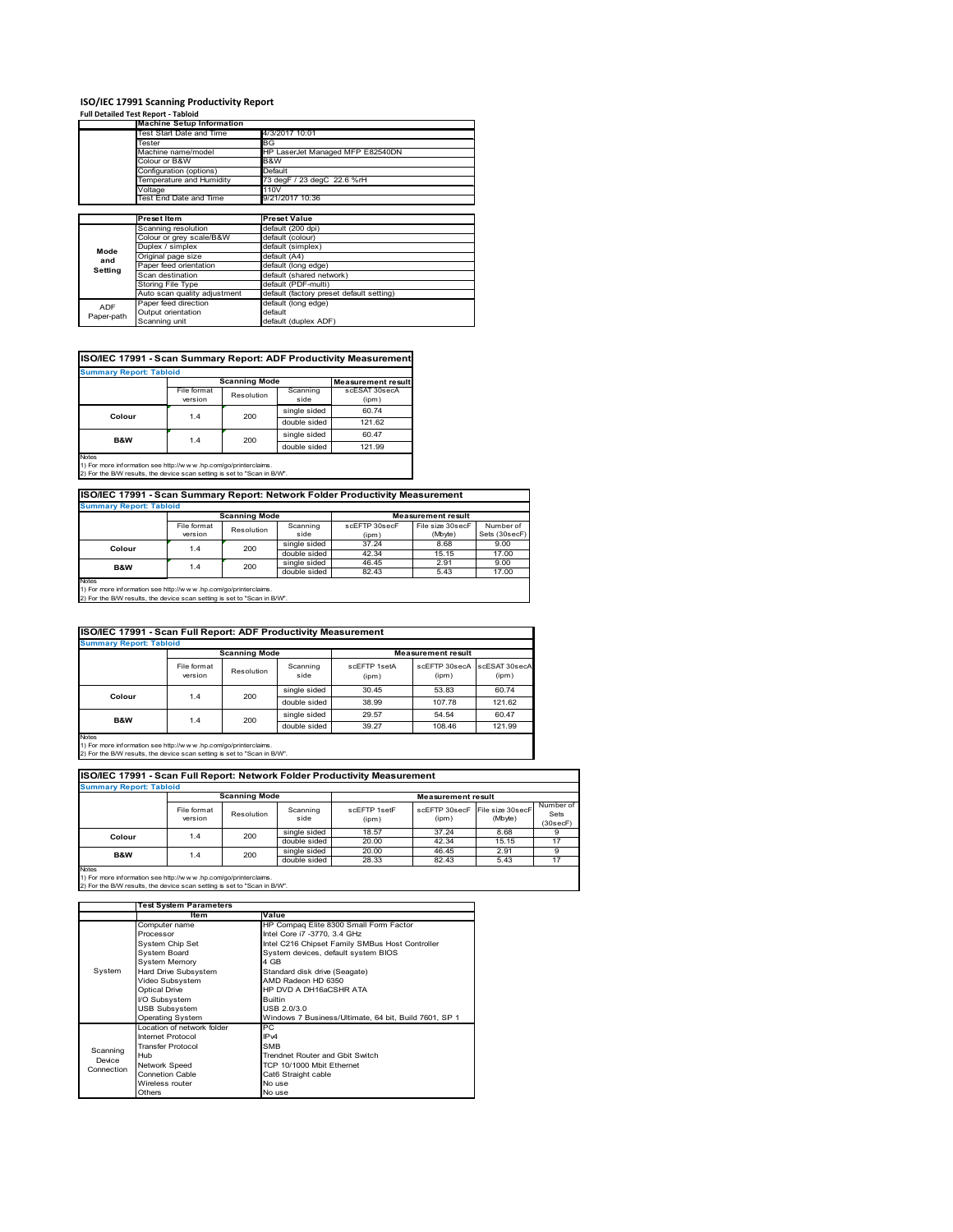#### **ISO/IEC 17991 Scanning Productivity Report Full Detailed Test Report ‐ Tabloid**

|            | <b>Machine Setup Information</b> |                                          |
|------------|----------------------------------|------------------------------------------|
|            | Test Start Date and Time         | 4/3/2017 10:01                           |
|            | Tester                           | BG                                       |
|            | Machine name/model               | HP LaserJet Managed MFP E82540DN         |
|            | Colour or B&W                    | B&W                                      |
|            | Configuration (options)          | Default                                  |
|            | Temperature and Humidity         | 73 degF / 23 degC 22.6 %rH               |
|            | Voltage                          | 110V                                     |
|            | Test End Date and Time           | 9/21/2017 10:36                          |
|            |                                  |                                          |
|            | <b>Preset Item</b>               | <b>Preset Value</b>                      |
|            | Scanning resolution              | default (200 dpi)                        |
|            | Colour or grey scale/B&W         | default (colour)                         |
| Mode       | Duplex / simplex                 | default (simplex)                        |
| and        | Original page size               | default (A4)                             |
| Setting    | Paper feed orientation           | default (long edge)                      |
|            | Scan destination                 | default (shared network)                 |
|            | <b>Storing File Type</b>         | default (PDF-multi)                      |
|            | Auto scan quality adjustment     | default (factory preset default setting) |
| ADF        | Paper feed direction             | default (long edge)                      |
|            | Output orientation               | default                                  |
| Paper-path | Scanning unit                    | default (duplex ADF)                     |

#### **ISO/IEC 17991 - Scan Summary Report: ADF Productivity Measurement**

| <b>Summary Report: Tabloid</b> |                        |                      |                  |                           |  |
|--------------------------------|------------------------|----------------------|------------------|---------------------------|--|
|                                |                        | <b>Scanning Mode</b> |                  | <b>Measurement result</b> |  |
|                                | File format<br>version | Resolution           | Scanning<br>side | scESAT 30secA<br>(ipm)    |  |
| Colour                         | 1.4                    | 200                  | single sided     | 60.74                     |  |
|                                |                        |                      | double sided     | 121.62                    |  |
| <b>B&amp;W</b>                 | 1.4                    | 200                  | single sided     | 60.47                     |  |
|                                |                        |                      | double sided     | 121.99                    |  |
| <b>Notes</b>                   |                        |                      |                  |                           |  |

Notes 1) For more information see http://w w w .hp.com/go/printerclaims. 2) For the B/W results, the device scan setting is set to "Scan in B/W".

#### **ISO/IEC 17991 - Scan Summary Report: Network Folder Productivity Measurement**

| <b>Summary Report: Tabloid</b> |                      |            |              |               |                           |               |  |
|--------------------------------|----------------------|------------|--------------|---------------|---------------------------|---------------|--|
|                                | <b>Scanning Mode</b> |            |              |               | <b>Measurement result</b> |               |  |
|                                | File format          | Resolution | Scanning     | scEFTP 30secF | File size 30secF          | Number of     |  |
|                                | version              |            | side         | (ipm)         | (Mbyte)                   | Sets (30secF) |  |
| Colour                         | 1.4                  | 200        | single sided | 37.24         | 8.68                      | 9.00          |  |
|                                |                      |            | double sided | 42.34         | 15.15                     | 17.00         |  |
| <b>B&amp;W</b>                 | 1.4                  | 200        | single sided | 46.45         | 2.91                      | 9.00          |  |
|                                |                      |            | double sided | 82.43         | 5.43                      | 17.00         |  |
| Notes                          |                      |            |              |               |                           |               |  |

Notes 1) For more information see http://w w w .hp.com/go/printerclaims. 2) For the B/W results, the device scan setting is set to "Scan in B/W".

| <b>ISO/IEC 17991 - Scan Full Report: ADF Productivity Measurement</b> |                        |                      |                  |                       |                                      |        |
|-----------------------------------------------------------------------|------------------------|----------------------|------------------|-----------------------|--------------------------------------|--------|
| <b>Summary Report: Tabloid</b>                                        |                        |                      |                  |                       |                                      |        |
|                                                                       |                        | <b>Scanning Mode</b> |                  |                       | <b>Measurement result</b>            |        |
|                                                                       | File format<br>version | Resolution           | Scanning<br>side | scFFTP 1setA<br>(ipm) | scEFTP 30secA scESAT 30secA<br>(ipm) | (ipm)  |
| Colour                                                                | 1.4                    | 200                  | single sided     | 30.45                 | 53.83                                | 60.74  |
|                                                                       |                        |                      | double sided     | 38.99                 | 107.78                               | 121.62 |
| <b>B&amp;W</b>                                                        | 1.4                    | 200                  | single sided     | 29.57                 | 54.54                                | 60.47  |
|                                                                       |                        |                      | double sided     | 39.27                 | 108.46                               | 121.99 |
| Notes                                                                 |                        |                      |                  |                       |                                      |        |

Notes 1) For more information see http://w w w .hp.com/go/printerclaims. 2) For the B/W results, the device scan setting is set to "Scan in B/W".

| ISO/IEC 17991 - Scan Full Report: Network Folder Productivity Measurement |                                |                      |                  |                       |                           |                              |                               |
|---------------------------------------------------------------------------|--------------------------------|----------------------|------------------|-----------------------|---------------------------|------------------------------|-------------------------------|
|                                                                           | <b>Summary Report: Tabloid</b> |                      |                  |                       |                           |                              |                               |
|                                                                           |                                | <b>Scanning Mode</b> |                  |                       | <b>Measurement result</b> |                              |                               |
|                                                                           | File format<br>version         | Resolution           | Scanning<br>side | scFFTP 1setF<br>(ipm) | scEFTP 30secF<br>(ipm)    | File size 30 secF<br>(Mbyte) | Number of<br>Sets<br>(30secF) |
| Colour                                                                    | 1.4                            | 200                  | single sided     | 18.57                 | 37.24                     | 8.68                         |                               |
|                                                                           |                                |                      | double sided     | 20.00                 | 42.34                     | 15.15                        | 17                            |
| <b>B&amp;W</b><br>1.4                                                     | 200                            | single sided         | 20.00            | 46.45                 | 2.91                      | 9                            |                               |
|                                                                           |                                |                      | double sided     | 28.33                 | 82.43                     | 5.43                         | 17                            |
| <b>Notes</b>                                                              |                                |                      |                  |                       |                           |                              |                               |

|            | <b>Test System Parameters</b> |                                                       |  |  |
|------------|-------------------------------|-------------------------------------------------------|--|--|
|            | <b>Item</b>                   | Value                                                 |  |  |
|            | Computer name                 | HP Compaq Elite 8300 Small Form Factor                |  |  |
|            | Processor                     | Intel Core i7 -3770, 3.4 GHz                          |  |  |
|            | System Chip Set               | Intel C216 Chipset Family SMBus Host Controller       |  |  |
|            | <b>System Board</b>           | System devices, default system BIOS                   |  |  |
|            | <b>System Memory</b>          | 4 GB                                                  |  |  |
| System     | Hard Drive Subsystem          | Standard disk drive (Seagate)                         |  |  |
|            | Video Subsystem               | AMD Radeon HD 6350                                    |  |  |
|            | <b>Optical Drive</b>          | HP DVD A DH16aCSHR ATA                                |  |  |
|            | I/O Subsystem                 | <b>Builtin</b>                                        |  |  |
|            | <b>USB Subsystem</b>          | USB 2.0/3.0                                           |  |  |
|            | <b>Operating System</b>       | Windows 7 Business/Ultimate, 64 bit, Build 7601, SP 1 |  |  |
|            | ocation of network folder     | РC                                                    |  |  |
|            | Internet Protocol             | IP <sub>v4</sub>                                      |  |  |
| Scanning   | <b>Transfer Protocol</b>      | <b>SMB</b>                                            |  |  |
| Device     | Hub                           | Trendnet Router and Gbit Switch                       |  |  |
| Connection | Network Speed                 | TCP 10/1000 Mbit Ethernet                             |  |  |
|            | <b>Connetion Cable</b>        | Cat6 Straight cable                                   |  |  |
|            | Wireless router               | No use                                                |  |  |
|            | Others                        | No use                                                |  |  |